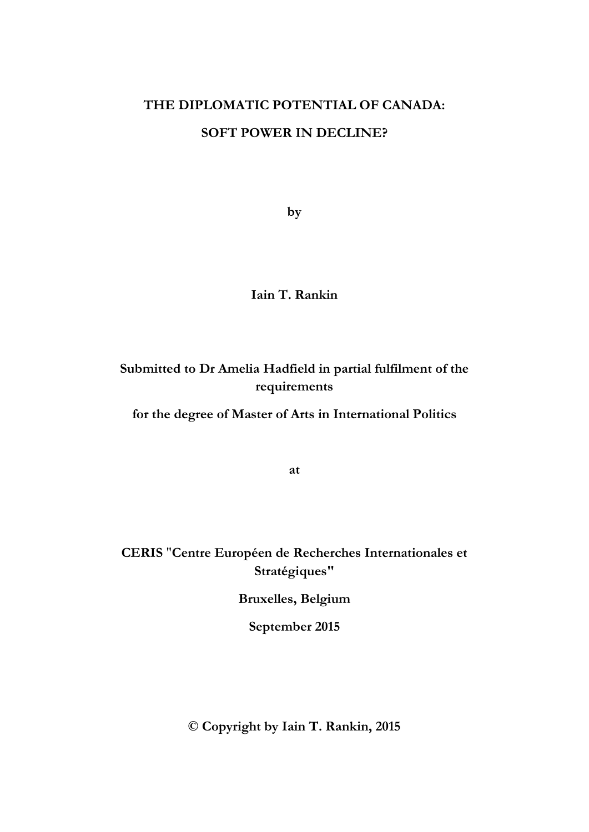# **THE DIPLOMATIC POTENTIAL OF CANADA: SOFT POWER IN DECLINE?**

**by** 

**Iain T. Rankin**

**Submitted to Dr Amelia Hadfield in partial fulfilment of the requirements** 

**for the degree of Master of Arts in International Politics**

**at**

**CERIS** "**Centre Européen de Recherches Internationales et Stratégiques"**

**Bruxelles, Belgium**

**September 2015**

**© Copyright by Iain T. Rankin, 2015**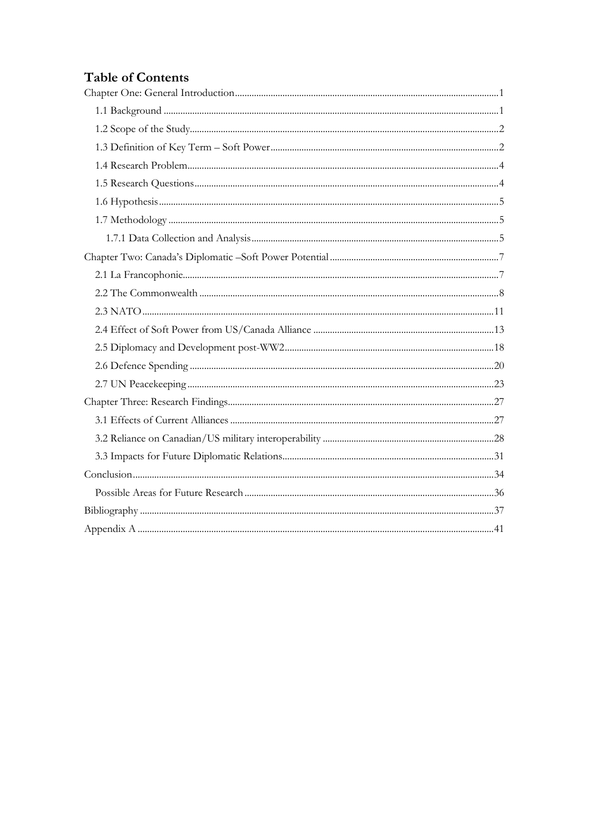## **Table of Contents**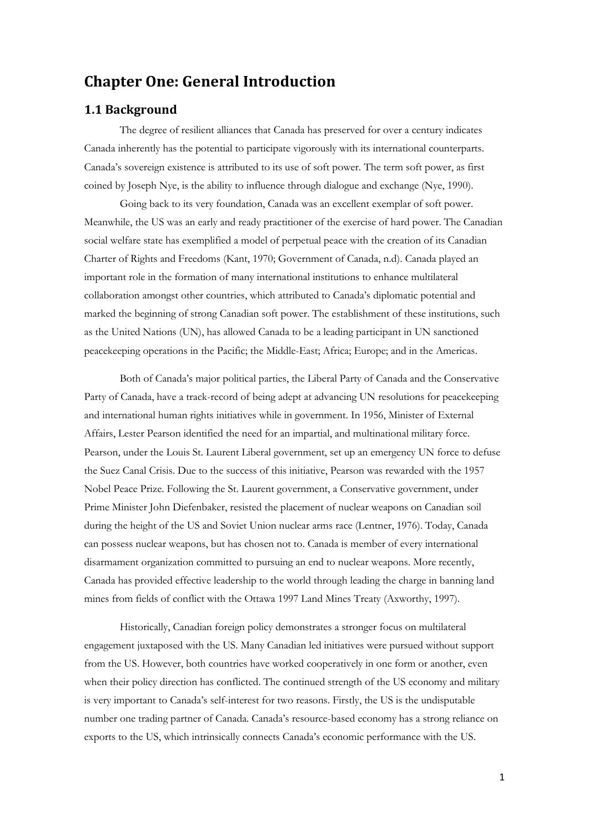## <span id="page-2-0"></span>**Chapter One: General Introduction**

## <span id="page-2-1"></span>**1.1 Background**

The degree of resilient alliances that Canada has preserved for over a century indicates Canada inherently has the potential to participate vigorously with its international counterparts. Canada's sovereign existence is attributed to its use of soft power. The term soft power, as first coined by Joseph Nye, is the ability to influence through dialogue and exchange (Nye, 1990).

Going back to its very foundation, Canada was an excellent exemplar of soft power. Meanwhile, the US was an early and ready practitioner of the exercise of hard power. The Canadian social welfare state has exemplified a model of perpetual peace with the creation of its Canadian Charter of Rights and Freedoms (Kant, 1970; Government of Canada, n.d). Canada played an important role in the formation of many international institutions to enhance multilateral collaboration amongst other countries, which attributed to Canada's diplomatic potential and marked the beginning of strong Canadian soft power. The establishment of these institutions, such as the United Nations (UN), has allowed Canada to be a leading participant in UN sanctioned peacekeeping operations in the Pacific; the Middle-East; Africa; Europe; and in the Americas.

Both of Canada's major political parties, the Liberal Party of Canada and the Conservative Party of Canada, have a track-record of being adept at advancing UN resolutions for peacekeeping and international human rights initiatives while in government. In 1956, Minister of External Affairs, Lester Pearson identified the need for an impartial, and multinational military force. Pearson, under the Louis St. Laurent Liberal government, set up an emergency UN force to defuse the Suez Canal Crisis. Due to the success of this initiative, Pearson was rewarded with the 1957 Nobel Peace Prize. Following the St. Laurent government, a Conservative government, under Prime Minister John Diefenbaker, resisted the placement of nuclear weapons on Canadian soil during the height of the US and Soviet Union nuclear arms race (Lentner, 1976). Today, Canada can possess nuclear weapons, but has chosen not to. Canada is member of every international disarmament organization committed to pursuing an end to nuclear weapons. More recently, Canada has provided effective leadership to the world through leading the charge in banning land mines from fields of conflict with the Ottawa 1997 Land Mines Treaty (Axworthy, 1997).

Historically, Canadian foreign policy demonstrates a stronger focus on multilateral engagement juxtaposed with the US. Many Canadian led initiatives were pursued without support from the US. However, both countries have worked cooperatively in one form or another, even when their policy direction has conflicted. The continued strength of the US economy and military is very important to Canada's self-interest for two reasons. Firstly, the US is the undisputable number one trading partner of Canada. Canada's resource-based economy has a strong reliance on exports to the US, which intrinsically connects Canada's economic performance with the US.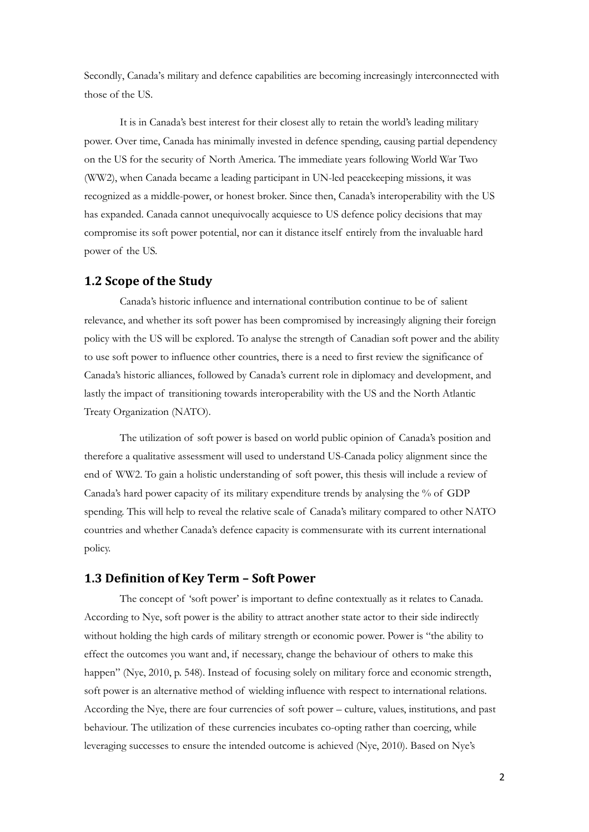Secondly, Canada's military and defence capabilities are becoming increasingly interconnected with those of the US.

It is in Canada's best interest for their closest ally to retain the world's leading military power. Over time, Canada has minimally invested in defence spending, causing partial dependency on the US for the security of North America. The immediate years following World War Two (WW2), when Canada became a leading participant in UN-led peacekeeping missions, it was recognized as a middle-power, or honest broker. Since then, Canada's interoperability with the US has expanded. Canada cannot unequivocally acquiesce to US defence policy decisions that may compromise its soft power potential, nor can it distance itself entirely from the invaluable hard power of the US.

### <span id="page-3-0"></span>**1.2 Scope of the Study**

Canada's historic influence and international contribution continue to be of salient relevance, and whether its soft power has been compromised by increasingly aligning their foreign policy with the US will be explored. To analyse the strength of Canadian soft power and the ability to use soft power to influence other countries, there is a need to first review the significance of Canada's historic alliances, followed by Canada's current role in diplomacy and development, and lastly the impact of transitioning towards interoperability with the US and the North Atlantic Treaty Organization (NATO).

The utilization of soft power is based on world public opinion of Canada's position and therefore a qualitative assessment will used to understand US-Canada policy alignment since the end of WW2. To gain a holistic understanding of soft power, this thesis will include a review of Canada's hard power capacity of its military expenditure trends by analysing the % of GDP spending. This will help to reveal the relative scale of Canada's military compared to other NATO countries and whether Canada's defence capacity is commensurate with its current international policy.

## <span id="page-3-1"></span>**1.3 Definition of Key Term – Soft Power**

The concept of 'soft power' is important to define contextually as it relates to Canada. According to Nye, soft power is the ability to attract another state actor to their side indirectly without holding the high cards of military strength or economic power. Power is "the ability to effect the outcomes you want and, if necessary, change the behaviour of others to make this happen" (Nye, 2010, p. 548). Instead of focusing solely on military force and economic strength, soft power is an alternative method of wielding influence with respect to international relations. According the Nye, there are four currencies of soft power – culture, values, institutions, and past behaviour. The utilization of these currencies incubates co-opting rather than coercing, while leveraging successes to ensure the intended outcome is achieved (Nye, 2010). Based on Nye's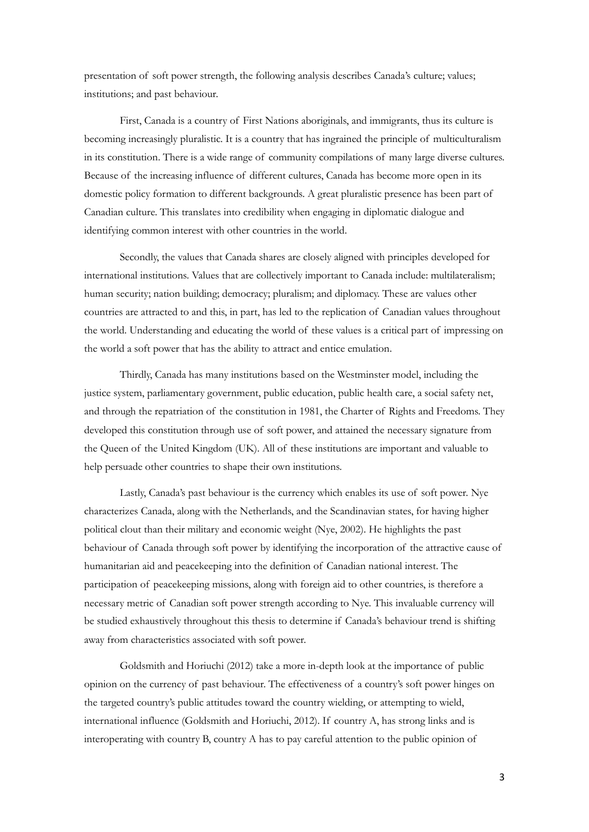presentation of soft power strength, the following analysis describes Canada's culture; values; institutions; and past behaviour.

First, Canada is a country of First Nations aboriginals, and immigrants, thus its culture is becoming increasingly pluralistic. It is a country that has ingrained the principle of multiculturalism in its constitution. There is a wide range of community compilations of many large diverse cultures. Because of the increasing influence of different cultures, Canada has become more open in its domestic policy formation to different backgrounds. A great pluralistic presence has been part of Canadian culture. This translates into credibility when engaging in diplomatic dialogue and identifying common interest with other countries in the world.

Secondly, the values that Canada shares are closely aligned with principles developed for international institutions. Values that are collectively important to Canada include: multilateralism; human security; nation building; democracy; pluralism; and diplomacy. These are values other countries are attracted to and this, in part, has led to the replication of Canadian values throughout the world. Understanding and educating the world of these values is a critical part of impressing on the world a soft power that has the ability to attract and entice emulation.

Thirdly, Canada has many institutions based on the Westminster model, including the justice system, parliamentary government, public education, public health care, a social safety net, and through the repatriation of the constitution in 1981, the Charter of Rights and Freedoms. They developed this constitution through use of soft power, and attained the necessary signature from the Queen of the United Kingdom (UK). All of these institutions are important and valuable to help persuade other countries to shape their own institutions.

Lastly, Canada's past behaviour is the currency which enables its use of soft power. Nye characterizes Canada, along with the Netherlands, and the Scandinavian states, for having higher political clout than their military and economic weight (Nye, 2002). He highlights the past behaviour of Canada through soft power by identifying the incorporation of the attractive cause of humanitarian aid and peacekeeping into the definition of Canadian national interest. The participation of peacekeeping missions, along with foreign aid to other countries, is therefore a necessary metric of Canadian soft power strength according to Nye. This invaluable currency will be studied exhaustively throughout this thesis to determine if Canada's behaviour trend is shifting away from characteristics associated with soft power.

Goldsmith and Horiuchi (2012) take a more in-depth look at the importance of public opinion on the currency of past behaviour. The effectiveness of a country's soft power hinges on the targeted country's public attitudes toward the country wielding, or attempting to wield, international influence (Goldsmith and Horiuchi, 2012). If country A, has strong links and is interoperating with country B, country A has to pay careful attention to the public opinion of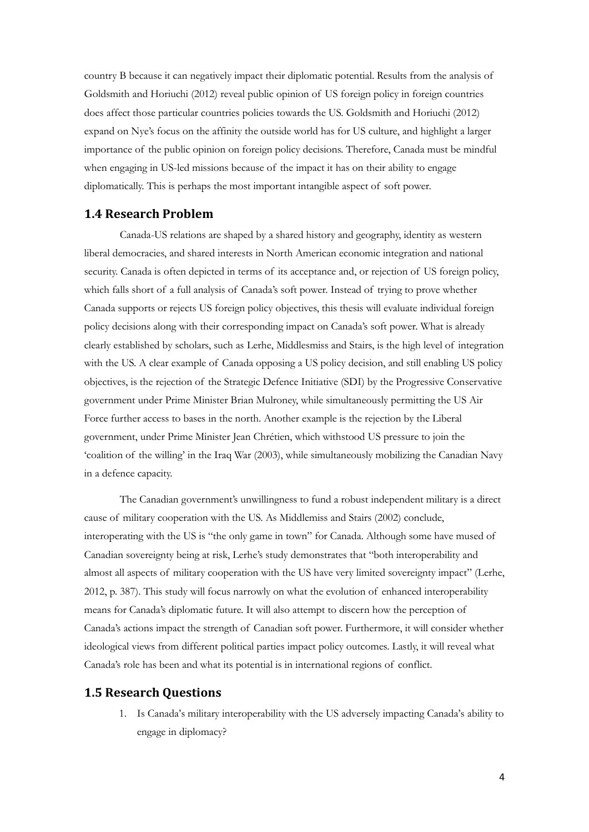country B because it can negatively impact their diplomatic potential. Results from the analysis of Goldsmith and Horiuchi (2012) reveal public opinion of US foreign policy in foreign countries does affect those particular countries policies towards the US. Goldsmith and Horiuchi (2012) expand on Nye's focus on the affinity the outside world has for US culture, and highlight a larger importance of the public opinion on foreign policy decisions. Therefore, Canada must be mindful when engaging in US-led missions because of the impact it has on their ability to engage diplomatically. This is perhaps the most important intangible aspect of soft power.

## <span id="page-5-0"></span>**1.4 Research Problem**

Canada-US relations are shaped by a shared history and geography, identity as western liberal democracies, and shared interests in North American economic integration and national security. Canada is often depicted in terms of its acceptance and, or rejection of US foreign policy, which falls short of a full analysis of Canada's soft power. Instead of trying to prove whether Canada supports or rejects US foreign policy objectives, this thesis will evaluate individual foreign policy decisions along with their corresponding impact on Canada's soft power. What is already clearly established by scholars, such as Lerhe, Middlesmiss and Stairs, is the high level of integration with the US. A clear example of Canada opposing a US policy decision, and still enabling US policy objectives, is the rejection of the Strategic Defence Initiative (SDI) by the Progressive Conservative government under Prime Minister Brian Mulroney, while simultaneously permitting the US Air Force further access to bases in the north. Another example is the rejection by the Liberal government, under Prime Minister Jean Chrétien, which withstood US pressure to join the 'coalition of the willing' in the Iraq War (2003), while simultaneously mobilizing the Canadian Navy in a defence capacity.

The Canadian government's unwillingness to fund a robust independent military is a direct cause of military cooperation with the US. As Middlemiss and Stairs (2002) conclude, interoperating with the US is "the only game in town" for Canada. Although some have mused of Canadian sovereignty being at risk, Lerhe's study demonstrates that "both interoperability and almost all aspects of military cooperation with the US have very limited sovereignty impact" (Lerhe, 2012, p. 387). This study will focus narrowly on what the evolution of enhanced interoperability means for Canada's diplomatic future. It will also attempt to discern how the perception of Canada's actions impact the strength of Canadian soft power. Furthermore, it will consider whether ideological views from different political parties impact policy outcomes. Lastly, it will reveal what Canada's role has been and what its potential is in international regions of conflict.

#### <span id="page-5-1"></span>**1.5 Research Questions**

1. Is Canada's military interoperability with the US adversely impacting Canada's ability to engage in diplomacy?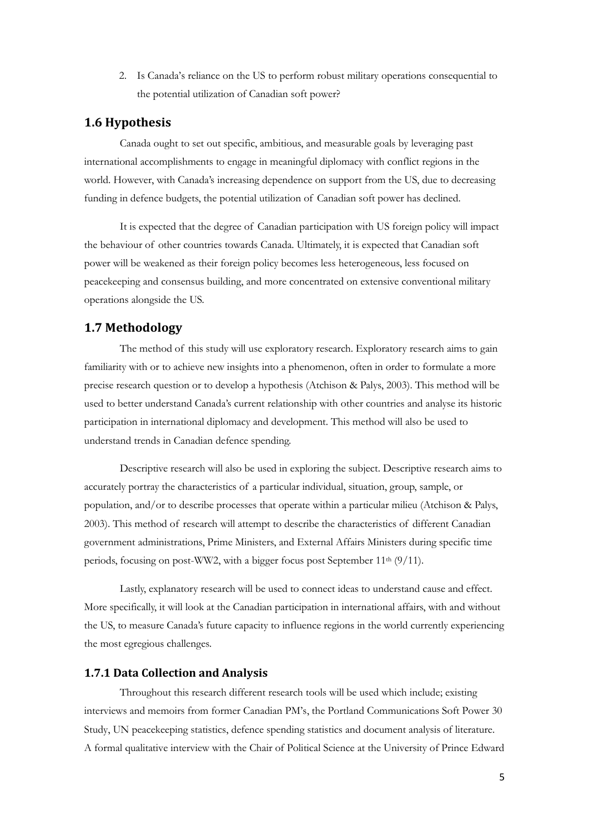2. Is Canada's reliance on the US to perform robust military operations consequential to the potential utilization of Canadian soft power?

## <span id="page-6-0"></span>**1.6 Hypothesis**

Canada ought to set out specific, ambitious, and measurable goals by leveraging past international accomplishments to engage in meaningful diplomacy with conflict regions in the world. However, with Canada's increasing dependence on support from the US, due to decreasing funding in defence budgets, the potential utilization of Canadian soft power has declined.

It is expected that the degree of Canadian participation with US foreign policy will impact the behaviour of other countries towards Canada. Ultimately, it is expected that Canadian soft power will be weakened as their foreign policy becomes less heterogeneous, less focused on peacekeeping and consensus building, and more concentrated on extensive conventional military operations alongside the US.

### <span id="page-6-1"></span>**1.7 Methodology**

The method of this study will use exploratory research. Exploratory research aims to gain familiarity with or to achieve new insights into a phenomenon, often in order to formulate a more precise research question or to develop a hypothesis (Atchison & Palys, 2003). This method will be used to better understand Canada's current relationship with other countries and analyse its historic participation in international diplomacy and development. This method will also be used to understand trends in Canadian defence spending.

Descriptive research will also be used in exploring the subject. Descriptive research aims to accurately portray the characteristics of a particular individual, situation, group, sample, or population, and/or to describe processes that operate within a particular milieu (Atchison & Palys, 2003). This method of research will attempt to describe the characteristics of different Canadian government administrations, Prime Ministers, and External Affairs Ministers during specific time periods, focusing on post-WW2, with a bigger focus post September 11<sup>th</sup> (9/11).

Lastly, explanatory research will be used to connect ideas to understand cause and effect. More specifically, it will look at the Canadian participation in international affairs, with and without the US, to measure Canada's future capacity to influence regions in the world currently experiencing the most egregious challenges.

#### <span id="page-6-2"></span>**1.7.1 Data Collection and Analysis**

Throughout this research different research tools will be used which include; existing interviews and memoirs from former Canadian PM's, the Portland Communications Soft Power 30 Study, UN peacekeeping statistics, defence spending statistics and document analysis of literature. A formal qualitative interview with the Chair of Political Science at the University of Prince Edward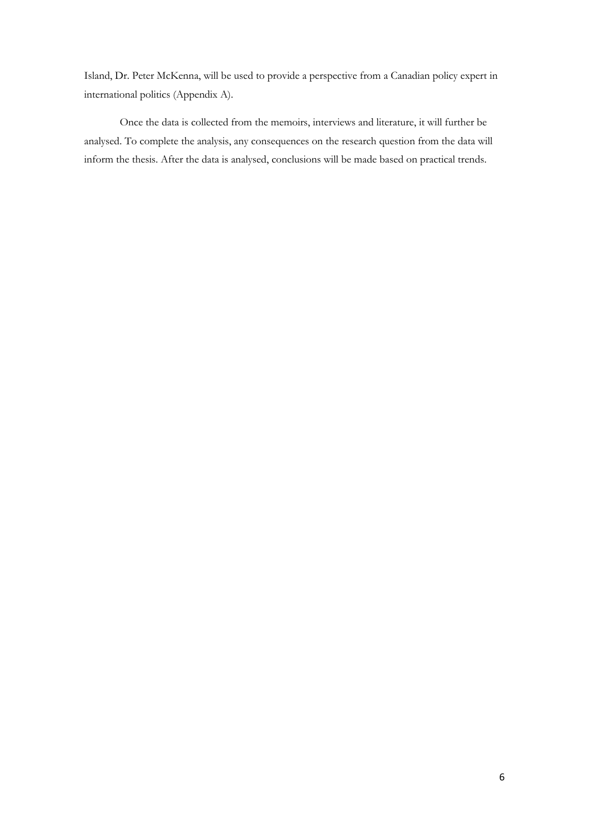Island, Dr. Peter McKenna, will be used to provide a perspective from a Canadian policy expert in international politics (Appendix A).

Once the data is collected from the memoirs, interviews and literature, it will further be analysed. To complete the analysis, any consequences on the research question from the data will inform the thesis. After the data is analysed, conclusions will be made based on practical trends.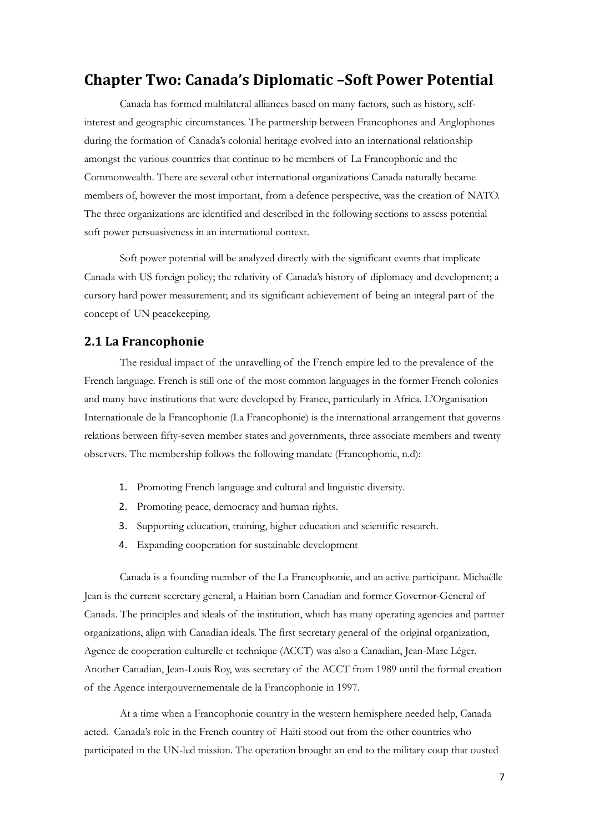## <span id="page-8-0"></span>**Chapter Two: Canada's Diplomatic –Soft Power Potential**

Canada has formed multilateral alliances based on many factors, such as history, selfinterest and geographic circumstances. The partnership between Francophones and Anglophones during the formation of Canada's colonial heritage evolved into an international relationship amongst the various countries that continue to be members of La Francophonie and the Commonwealth. There are several other international organizations Canada naturally became members of, however the most important, from a defence perspective, was the creation of NATO. The three organizations are identified and described in the following sections to assess potential soft power persuasiveness in an international context.

Soft power potential will be analyzed directly with the significant events that implicate Canada with US foreign policy; the relativity of Canada's history of diplomacy and development; a cursory hard power measurement; and its significant achievement of being an integral part of the concept of UN peacekeeping.

### <span id="page-8-1"></span>**2.1 La Francophonie**

The residual impact of the unravelling of the French empire led to the prevalence of the French language. French is still one of the most common languages in the former French colonies and many have institutions that were developed by France, particularly in Africa. L'Organisation Internationale de la Francophonie (La Francophonie) is the international arrangement that governs relations between fifty-seven member states and governments, three associate members and twenty observers. The membership follows the following mandate (Francophonie, n.d):

- 1. Promoting French language and cultural and linguistic diversity.
- 2. Promoting peace, democracy and human rights.
- 3. Supporting education, training, higher education and scientific research.
- 4. Expanding cooperation for sustainable development

Canada is a founding member of the La Francophonie, and an active participant. Michaëlle Jean is the current secretary general, a Haitian born Canadian and former Governor-General of Canada. The principles and ideals of the institution, which has many operating agencies and partner organizations, align with Canadian ideals. The first secretary general of the original organization, Agence de cooperation culturelle et technique (ACCT) was also a Canadian, Jean-Marc Léger. Another Canadian, Jean-Louis Roy, was secretary of the ACCT from 1989 until the formal creation of the Agence intergouvernementale de la Francophonie in 1997.

At a time when a Francophonie country in the western hemisphere needed help, Canada acted. Canada's role in the French country of Haiti stood out from the other countries who participated in the UN-led mission. The operation brought an end to the military coup that ousted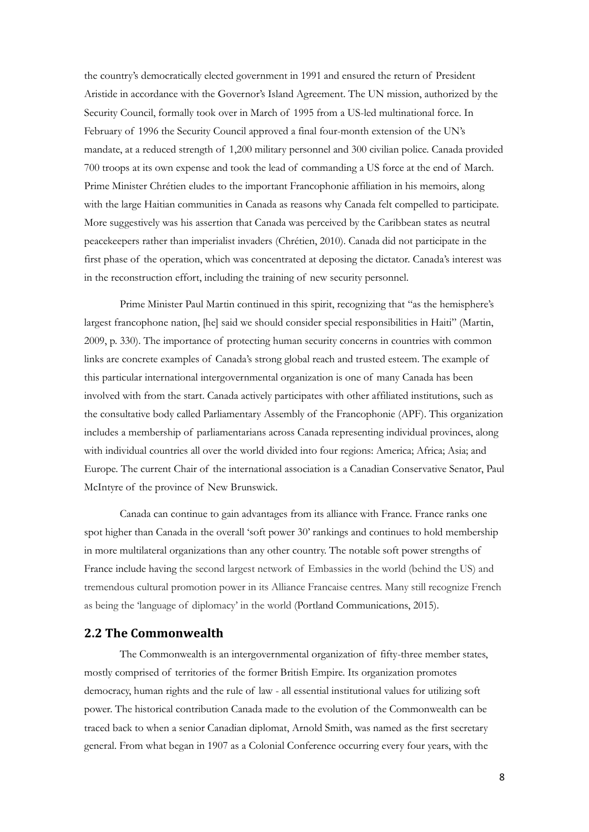the country's democratically elected government in 1991 and ensured the return of President Aristide in accordance with the Governor's Island Agreement. The UN mission, authorized by the Security Council, formally took over in March of 1995 from a US-led multinational force. In February of 1996 the Security Council approved a final four-month extension of the UN's mandate, at a reduced strength of 1,200 military personnel and 300 civilian police. Canada provided 700 troops at its own expense and took the lead of commanding a US force at the end of March. Prime Minister Chrétien eludes to the important Francophonie affiliation in his memoirs, along with the large Haitian communities in Canada as reasons why Canada felt compelled to participate. More suggestively was his assertion that Canada was perceived by the Caribbean states as neutral peacekeepers rather than imperialist invaders (Chrétien, 2010). Canada did not participate in the first phase of the operation, which was concentrated at deposing the dictator. Canada's interest was in the reconstruction effort, including the training of new security personnel.

Prime Minister Paul Martin continued in this spirit, recognizing that "as the hemisphere's largest francophone nation, [he] said we should consider special responsibilities in Haiti" (Martin, 2009, p. 330). The importance of protecting human security concerns in countries with common links are concrete examples of Canada's strong global reach and trusted esteem. The example of this particular international intergovernmental organization is one of many Canada has been involved with from the start. Canada actively participates with other affiliated institutions, such as the consultative body called Parliamentary Assembly of the Francophonie (APF). This organization includes a membership of parliamentarians across Canada representing individual provinces, along with individual countries all over the world divided into four regions: America; Africa; Asia; and Europe. The current Chair of the international association is a Canadian Conservative Senator, Paul McIntyre of the province of New Brunswick.

Canada can continue to gain advantages from its alliance with France. France ranks one spot higher than Canada in the overall 'soft power 30' rankings and continues to hold membership in more multilateral organizations than any other country. The notable soft power strengths of France include having the second largest network of Embassies in the world (behind the US) and tremendous cultural promotion power in its Alliance Francaise centres. Many still recognize French as being the 'language of diplomacy' in the world (Portland Communications, 2015).

## <span id="page-9-0"></span>**2.2 The Commonwealth**

The Commonwealth is an intergovernmental organization of fifty-three member states, mostly comprised of territories of the former British Empire. Its organization promotes democracy, human rights and the rule of law - all essential institutional values for utilizing soft power. The historical contribution Canada made to the evolution of the Commonwealth can be traced back to when a senior Canadian diplomat, Arnold Smith, was named as the first secretary general. From what began in 1907 as a Colonial Conference occurring every four years, with the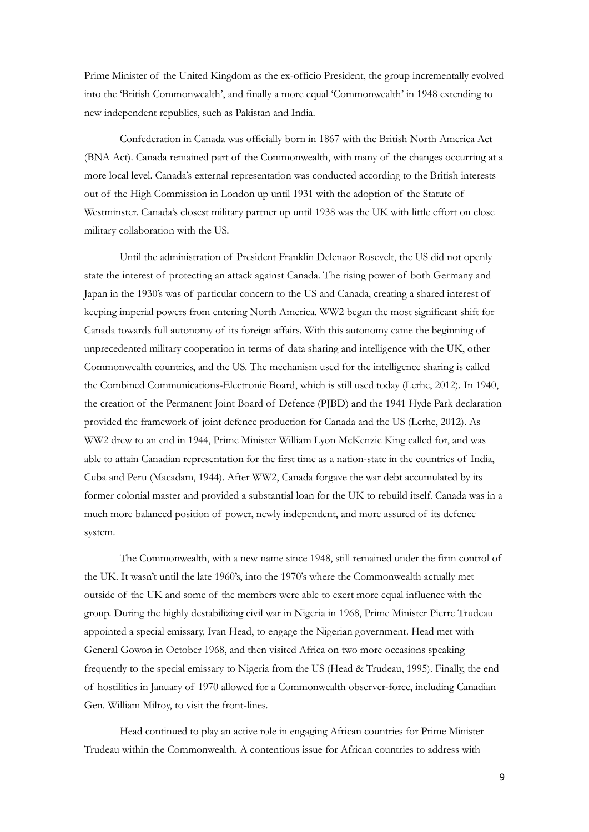Prime Minister of the United Kingdom as the ex-officio President, the group incrementally evolved into the 'British Commonwealth', and finally a more equal 'Commonwealth' in 1948 extending to new independent republics, such as Pakistan and India.

Confederation in Canada was officially born in 1867 with the British North America Act (BNA Act). Canada remained part of the Commonwealth, with many of the changes occurring at a more local level. Canada's external representation was conducted according to the British interests out of the High Commission in London up until 1931 with the adoption of the Statute of Westminster. Canada's closest military partner up until 1938 was the UK with little effort on close military collaboration with the US.

Until the administration of President Franklin Delenaor Rosevelt, the US did not openly state the interest of protecting an attack against Canada. The rising power of both Germany and Japan in the 1930's was of particular concern to the US and Canada, creating a shared interest of keeping imperial powers from entering North America. WW2 began the most significant shift for Canada towards full autonomy of its foreign affairs. With this autonomy came the beginning of unprecedented military cooperation in terms of data sharing and intelligence with the UK, other Commonwealth countries, and the US. The mechanism used for the intelligence sharing is called the Combined Communications-Electronic Board, which is still used today (Lerhe, 2012). In 1940, the creation of the Permanent Joint Board of Defence (PJBD) and the 1941 Hyde Park declaration provided the framework of joint defence production for Canada and the US (Lerhe, 2012). As WW2 drew to an end in 1944, Prime Minister William Lyon McKenzie King called for, and was able to attain Canadian representation for the first time as a nation-state in the countries of India, Cuba and Peru (Macadam, 1944). After WW2, Canada forgave the war debt accumulated by its former colonial master and provided a substantial loan for the UK to rebuild itself. Canada was in a much more balanced position of power, newly independent, and more assured of its defence system.

The Commonwealth, with a new name since 1948, still remained under the firm control of the UK. It wasn't until the late 1960's, into the 1970's where the Commonwealth actually met outside of the UK and some of the members were able to exert more equal influence with the group. During the highly destabilizing civil war in Nigeria in 1968, Prime Minister Pierre Trudeau appointed a special emissary, Ivan Head, to engage the Nigerian government. Head met with General Gowon in October 1968, and then visited Africa on two more occasions speaking frequently to the special emissary to Nigeria from the US (Head & Trudeau, 1995). Finally, the end of hostilities in January of 1970 allowed for a Commonwealth observer-force, including Canadian Gen. William Milroy, to visit the front-lines.

Head continued to play an active role in engaging African countries for Prime Minister Trudeau within the Commonwealth. A contentious issue for African countries to address with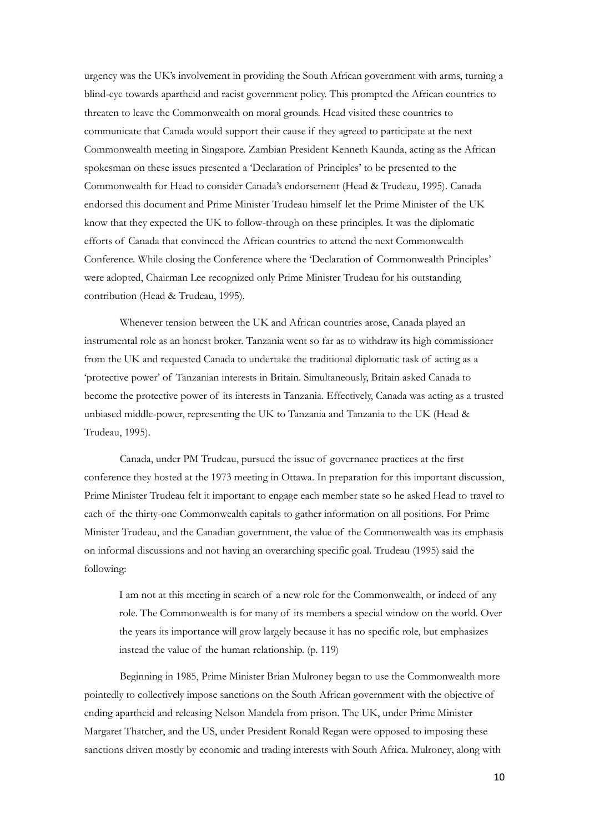urgency was the UK's involvement in providing the South African government with arms, turning a blind-eye towards apartheid and racist government policy. This prompted the African countries to threaten to leave the Commonwealth on moral grounds. Head visited these countries to communicate that Canada would support their cause if they agreed to participate at the next Commonwealth meeting in Singapore. Zambian President Kenneth Kaunda, acting as the African spokesman on these issues presented a 'Declaration of Principles' to be presented to the Commonwealth for Head to consider Canada's endorsement (Head & Trudeau, 1995). Canada endorsed this document and Prime Minister Trudeau himself let the Prime Minister of the UK know that they expected the UK to follow-through on these principles. It was the diplomatic efforts of Canada that convinced the African countries to attend the next Commonwealth Conference. While closing the Conference where the 'Declaration of Commonwealth Principles' were adopted, Chairman Lee recognized only Prime Minister Trudeau for his outstanding contribution (Head & Trudeau, 1995).

Whenever tension between the UK and African countries arose, Canada played an instrumental role as an honest broker. Tanzania went so far as to withdraw its high commissioner from the UK and requested Canada to undertake the traditional diplomatic task of acting as a 'protective power' of Tanzanian interests in Britain. Simultaneously, Britain asked Canada to become the protective power of its interests in Tanzania. Effectively, Canada was acting as a trusted unbiased middle-power, representing the UK to Tanzania and Tanzania to the UK (Head & Trudeau, 1995).

Canada, under PM Trudeau, pursued the issue of governance practices at the first conference they hosted at the 1973 meeting in Ottawa. In preparation for this important discussion, Prime Minister Trudeau felt it important to engage each member state so he asked Head to travel to each of the thirty-one Commonwealth capitals to gather information on all positions. For Prime Minister Trudeau, and the Canadian government, the value of the Commonwealth was its emphasis on informal discussions and not having an overarching specific goal. Trudeau (1995) said the following:

I am not at this meeting in search of a new role for the Commonwealth, or indeed of any role. The Commonwealth is for many of its members a special window on the world. Over the years its importance will grow largely because it has no specific role, but emphasizes instead the value of the human relationship. (p. 119)

Beginning in 1985, Prime Minister Brian Mulroney began to use the Commonwealth more pointedly to collectively impose sanctions on the South African government with the objective of ending apartheid and releasing Nelson Mandela from prison. The UK, under Prime Minister Margaret Thatcher, and the US, under President Ronald Regan were opposed to imposing these sanctions driven mostly by economic and trading interests with South Africa. Mulroney, along with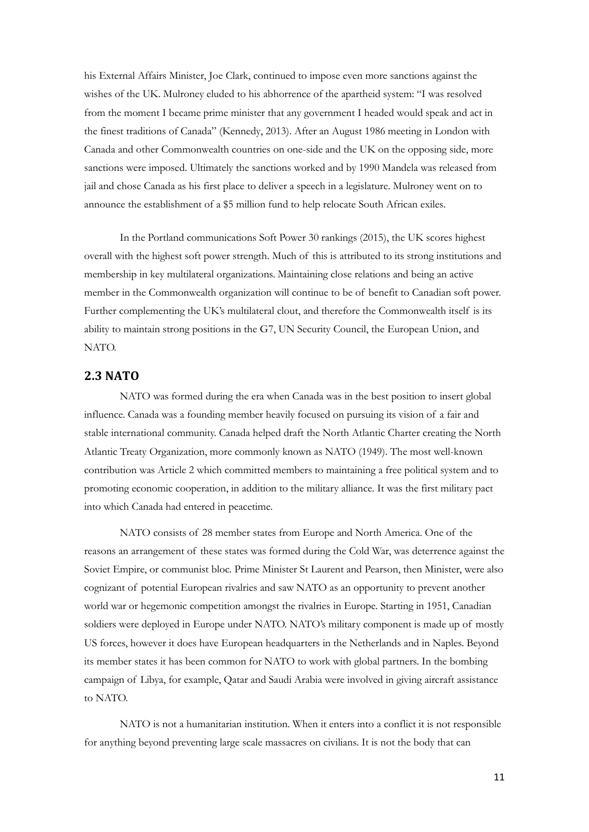his External Affairs Minister, Joe Clark, continued to impose even more sanctions against the wishes of the UK. Mulroney eluded to his abhorrence of the apartheid system: "I was resolved from the moment I became prime minister that any government I headed would speak and act in the finest traditions of Canada" (Kennedy, 2013). After an August 1986 meeting in London with Canada and other Commonwealth countries on one-side and the UK on the opposing side, more sanctions were imposed. Ultimately the sanctions worked and by 1990 Mandela was released from jail and chose Canada as his first place to deliver a speech in a legislature. Mulroney went on to announce the establishment of a \$5 million fund to help relocate South African exiles.

In the Portland communications Soft Power 30 rankings (2015), the UK scores highest overall with the highest soft power strength. Much of this is attributed to its strong institutions and membership in key multilateral organizations. Maintaining close relations and being an active member in the Commonwealth organization will continue to be of benefit to Canadian soft power. Further complementing the UK's multilateral clout, and therefore the Commonwealth itself is its ability to maintain strong positions in the G7, UN Security Council, the European Union, and NATO.

#### <span id="page-12-0"></span>**2.3 NATO**

NATO was formed during the era when Canada was in the best position to insert global influence. Canada was a founding member heavily focused on pursuing its vision of a fair and stable international community. Canada helped draft the North Atlantic Charter creating the North Atlantic Treaty Organization, more commonly known as NATO (1949). The most well-known contribution was Article 2 which committed members to maintaining a free political system and to promoting economic cooperation, in addition to the military alliance. It was the first military pact into which Canada had entered in peacetime.

NATO consists of 28 member states from Europe and North America. One of the reasons an arrangement of these states was formed during the Cold War, was deterrence against the Soviet Empire, or communist bloc. Prime Minister St Laurent and Pearson, then Minister, were also cognizant of potential European rivalries and saw NATO as an opportunity to prevent another world war or hegemonic competition amongst the rivalries in Europe. Starting in 1951, Canadian soldiers were deployed in Europe under NATO. NATO's military component is made up of mostly US forces, however it does have European headquarters in the Netherlands and in Naples. Beyond its member states it has been common for NATO to work with global partners. In the bombing campaign of Libya, for example, Qatar and Saudi Arabia were involved in giving aircraft assistance to NATO.

NATO is not a humanitarian institution. When it enters into a conflict it is not responsible for anything beyond preventing large scale massacres on civilians. It is not the body that can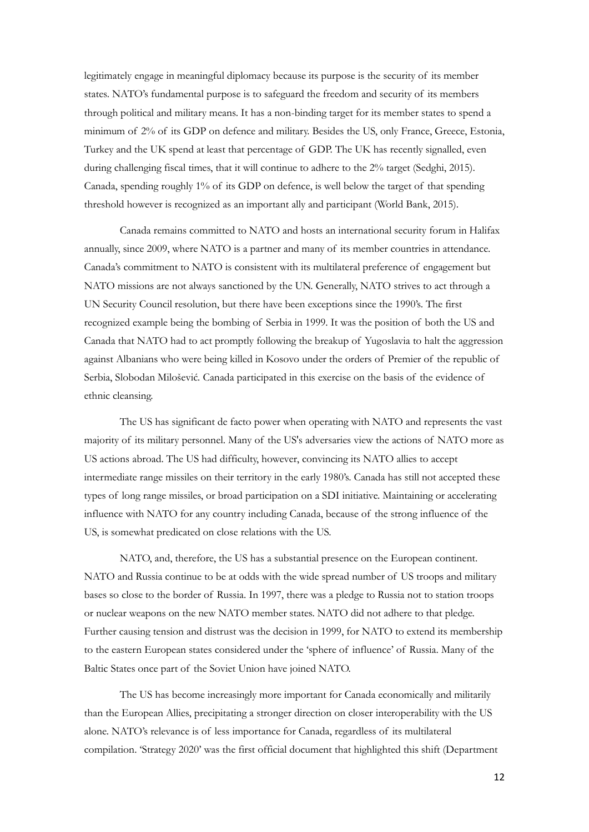legitimately engage in meaningful diplomacy because its purpose is the security of its member states. NATO's fundamental purpose is to safeguard the freedom and security of its members through political and military means. It has a non-binding target for its member states to spend a minimum of 2% of its GDP on defence and military. Besides the US, only France, Greece, Estonia, Turkey and the UK spend at least that percentage of GDP. The UK has recently signalled, even during challenging fiscal times, that it will continue to adhere to the 2% target (Sedghi, 2015). Canada, spending roughly 1% of its GDP on defence, is well below the target of that spending threshold however is recognized as an important ally and participant (World Bank, 2015).

Canada remains committed to NATO and hosts an international security forum in Halifax annually, since 2009, where NATO is a partner and many of its member countries in attendance. Canada's commitment to NATO is consistent with its multilateral preference of engagement but NATO missions are not always sanctioned by the UN. Generally, NATO strives to act through a UN Security Council resolution, but there have been exceptions since the 1990's. The first recognized example being the bombing of Serbia in 1999. It was the position of both the US and Canada that NATO had to act promptly following the breakup of Yugoslavia to halt the aggression against Albanians who were being killed in Kosovo under the orders of Premier of the republic of Serbia, Slobodan Milošević*.* Canada participated in this exercise on the basis of the evidence of ethnic cleansing.

The US has significant de facto power when operating with NATO and represents the vast majority of its military personnel. Many of the US's adversaries view the actions of NATO more as US actions abroad. The US had difficulty, however, convincing its NATO allies to accept intermediate range missiles on their territory in the early 1980's. Canada has still not accepted these types of long range missiles, or broad participation on a SDI initiative. Maintaining or accelerating influence with NATO for any country including Canada, because of the strong influence of the US, is somewhat predicated on close relations with the US.

NATO, and, therefore, the US has a substantial presence on the European continent. NATO and Russia continue to be at odds with the wide spread number of US troops and military bases so close to the border of Russia. In 1997, there was a pledge to Russia not to station troops or nuclear weapons on the new NATO member states. NATO did not adhere to that pledge. Further causing tension and distrust was the decision in 1999, for NATO to extend its membership to the eastern European states considered under the 'sphere of influence' of Russia. Many of the Baltic States once part of the Soviet Union have joined NATO.

The US has become increasingly more important for Canada economically and militarily than the European Allies, precipitating a stronger direction on closer interoperability with the US alone. NATO's relevance is of less importance for Canada, regardless of its multilateral compilation. 'Strategy 2020' was the first official document that highlighted this shift (Department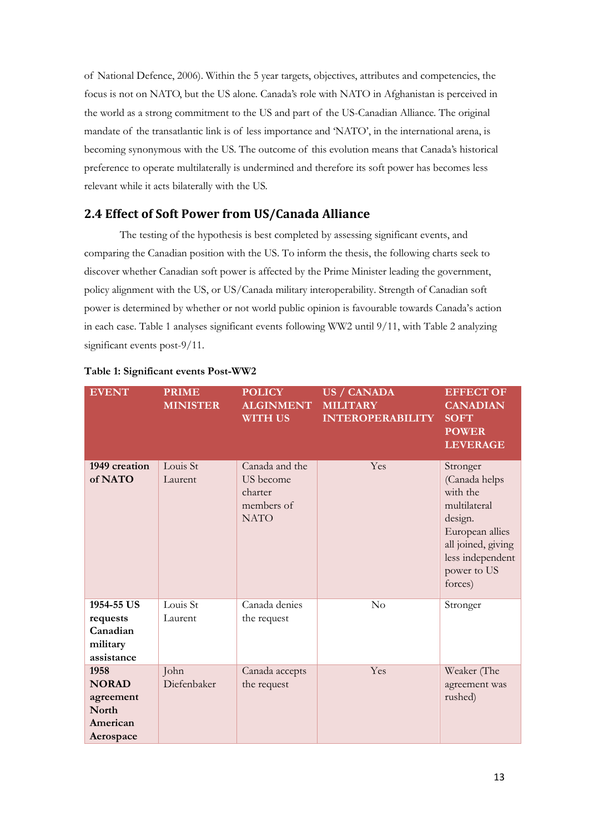of National Defence, 2006). Within the 5 year targets, objectives, attributes and competencies, the focus is not on NATO, but the US alone. Canada's role with NATO in Afghanistan is perceived in the world as a strong commitment to the US and part of the US-Canadian Alliance. The original mandate of the transatlantic link is of less importance and 'NATO', in the international arena, is becoming synonymous with the US. The outcome of this evolution means that Canada's historical preference to operate multilaterally is undermined and therefore its soft power has becomes less relevant while it acts bilaterally with the US.

## <span id="page-14-0"></span>**2.4 Effect of Soft Power from US/Canada Alliance**

The testing of the hypothesis is best completed by assessing significant events, and comparing the Canadian position with the US. To inform the thesis, the following charts seek to discover whether Canadian soft power is affected by the Prime Minister leading the government, policy alignment with the US, or US/Canada military interoperability. Strength of Canadian soft power is determined by whether or not world public opinion is favourable towards Canada's action in each case. Table 1 analyses significant events following WW2 until 9/11, with Table 2 analyzing significant events post-9/11.

| <b>EVENT</b>                                                        | <b>PRIME</b><br><b>MINISTER</b> | <b>POLICY</b><br><b>ALGINMENT</b><br><b>WITH US</b>                 | <b>US / CANADA</b><br><b>MILITARY</b><br><b>INTEROPERABILITY</b> | <b>EFFECT OF</b><br><b>CANADIAN</b><br><b>SOFT</b><br><b>POWER</b><br><b>LEVERAGE</b>                                                                   |
|---------------------------------------------------------------------|---------------------------------|---------------------------------------------------------------------|------------------------------------------------------------------|---------------------------------------------------------------------------------------------------------------------------------------------------------|
| 1949 creation<br>of NATO                                            | Louis St<br>Laurent             | Canada and the<br>US become<br>charter<br>members of<br><b>NATO</b> | Yes                                                              | Stronger<br>(Canada helps<br>with the<br>multilateral<br>design.<br>European allies<br>all joined, giving<br>less independent<br>power to US<br>forces) |
| 1954-55 US<br>requests<br>Canadian<br>military<br>assistance        | Louis St<br>Laurent             | Canada denies<br>the request                                        | No                                                               | Stronger                                                                                                                                                |
| 1958<br><b>NORAD</b><br>agreement<br>North<br>American<br>Aerospace | John<br>Diefenbaker             | Canada accepts<br>the request                                       | Yes                                                              | Weaker (The<br>agreement was<br>rushed)                                                                                                                 |

#### **Table 1: Significant events Post-WW2**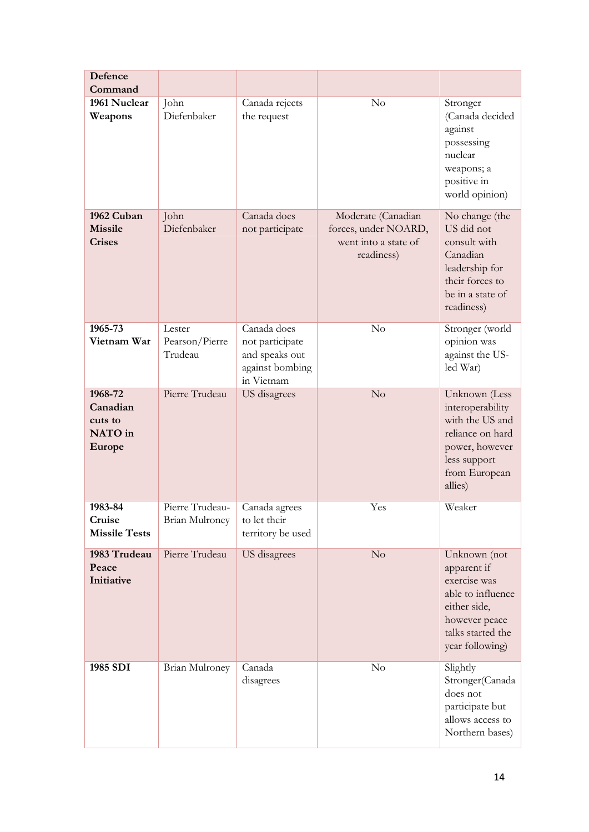| Defence                                                    |                                     |                                                                                   |                                                            |                                                                                                                                           |
|------------------------------------------------------------|-------------------------------------|-----------------------------------------------------------------------------------|------------------------------------------------------------|-------------------------------------------------------------------------------------------------------------------------------------------|
| Command                                                    |                                     |                                                                                   |                                                            |                                                                                                                                           |
| 1961 Nuclear<br>Weapons<br>1962 Cuban                      | John<br>Diefenbaker<br>John         | Canada rejects<br>the request<br>Canada does                                      | No<br>Moderate (Canadian                                   | Stronger<br>(Canada decided<br>against<br>possessing<br>nuclear<br>weapons; a<br>positive in<br>world opinion)<br>No change (the          |
| <b>Missile</b><br><b>Crises</b>                            | Diefenbaker                         | not participate                                                                   | forces, under NOARD,<br>went into a state of<br>readiness) | US did not<br>consult with<br>Canadian<br>leadership for<br>their forces to<br>be in a state of<br>readiness)                             |
| 1965-73<br>Vietnam War                                     | Lester<br>Pearson/Pierre<br>Trudeau | Canada does<br>not participate<br>and speaks out<br>against bombing<br>in Vietnam | No                                                         | Stronger (world<br>opinion was<br>against the US-<br>led War)                                                                             |
| 1968-72<br>Canadian<br>cuts to<br>NATO in<br><b>Europe</b> | Pierre Trudeau                      | <b>US</b> disagrees                                                               | No                                                         | Unknown (Less<br>interoperability<br>with the US and<br>reliance on hard<br>power, however<br>less support<br>from European<br>allies)    |
| 1983-84<br>Cruise<br><b>Missile Tests</b>                  | Pierre Trudeau-<br>Brian Mulroney   | Canada agrees<br>to let their<br>territory be used                                | Yes                                                        | Weaker                                                                                                                                    |
| 1983 Trudeau<br>Peace<br>Initiative                        | Pierre Trudeau                      | US disagrees                                                                      | No                                                         | Unknown (not<br>apparent if<br>exercise was<br>able to influence<br>either side,<br>however peace<br>talks started the<br>year following) |
| 1985 SDI                                                   | Brian Mulroney                      | Canada<br>disagrees                                                               | No                                                         | Slightly<br>Stronger(Canada<br>does not<br>participate but<br>allows access to<br>Northern bases)                                         |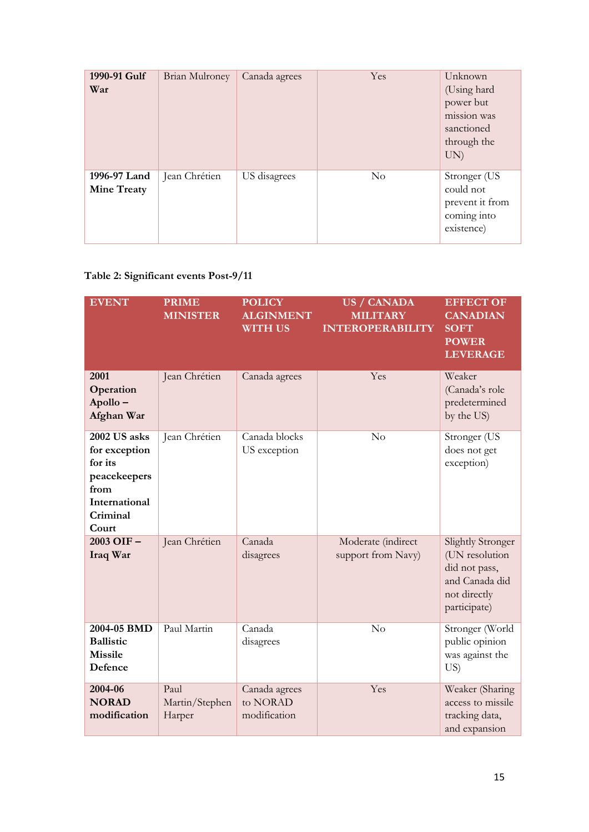| 1990-91 Gulf<br>War                | <b>Brian Mulroney</b> | Canada agrees | Yes      | Unknown<br>(Using hard<br>power but<br>mission was<br>sanctioned<br>through the<br>UN) |
|------------------------------------|-----------------------|---------------|----------|----------------------------------------------------------------------------------------|
| 1996-97 Land<br><b>Mine Treaty</b> | Jean Chrétien         | US disagrees  | $\rm No$ | Stronger (US<br>could not<br>prevent it from<br>coming into<br>existence)              |

## **Table 2: Significant events Post-9/11**

| <b>EVENT</b>                                                                                           | <b>PRIME</b><br><b>MINISTER</b>  | <b>POLICY</b><br><b>ALGINMENT</b><br><b>WITH US</b> | <b>US / CANADA</b><br><b>MILITARY</b><br><b>INTEROPERABILITY</b> | <b>EFFECT OF</b><br><b>CANADIAN</b><br><b>SOFT</b><br><b>POWER</b><br><b>LEVERAGE</b>                         |
|--------------------------------------------------------------------------------------------------------|----------------------------------|-----------------------------------------------------|------------------------------------------------------------------|---------------------------------------------------------------------------------------------------------------|
| 2001<br>Operation<br>Apollo-<br>Afghan War                                                             | Jean Chrétien                    | Canada agrees                                       | Yes                                                              | Weaker<br>(Canada's role<br>predetermined<br>by the US)                                                       |
| 2002 US asks<br>for exception<br>for its<br>peacekeepers<br>from<br>International<br>Criminal<br>Court | Jean Chrétien                    | Canada blocks<br>US exception                       | No                                                               | Stronger (US<br>does not get<br>exception)                                                                    |
| 2003 OIF-<br>Iraq War                                                                                  | Jean Chrétien                    | Canada<br>disagrees                                 | Moderate (indirect<br>support from Navy)                         | <b>Slightly Stronger</b><br>(UN resolution<br>did not pass,<br>and Canada did<br>not directly<br>participate) |
| 2004-05 BMD<br><b>Ballistic</b><br><b>Missile</b><br>Defence                                           | Paul Martin                      | Canada<br>disagrees                                 | No                                                               | Stronger (World<br>public opinion<br>was against the<br>US)                                                   |
| 2004-06<br><b>NORAD</b><br>modification                                                                | Paul<br>Martin/Stephen<br>Harper | Canada agrees<br>to NORAD<br>modification           | Yes                                                              | Weaker (Sharing<br>access to missile<br>tracking data,<br>and expansion                                       |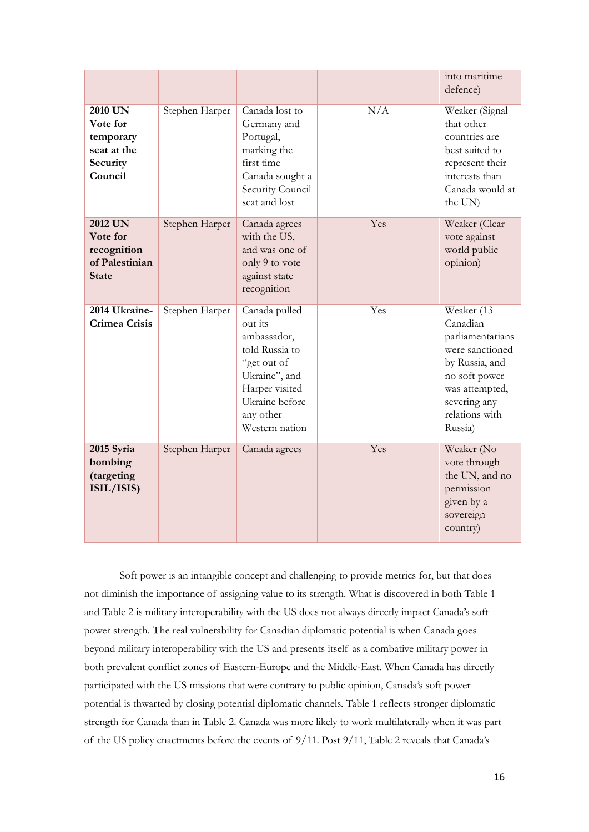|                                                                             |                |                                                                                                                                                              |     | into maritime<br>defence)                                                                                                                                       |
|-----------------------------------------------------------------------------|----------------|--------------------------------------------------------------------------------------------------------------------------------------------------------------|-----|-----------------------------------------------------------------------------------------------------------------------------------------------------------------|
| 2010 UN<br>Vote for<br>temporary<br>seat at the<br>Security<br>Council      | Stephen Harper | Canada lost to<br>Germany and<br>Portugal,<br>marking the<br>first time<br>Canada sought a<br>Security Council<br>seat and lost                              | N/A | Weaker (Signal<br>that other<br>countries are<br>best suited to<br>represent their<br>interests than<br>Canada would at<br>the UN)                              |
| <b>2012 UN</b><br>Vote for<br>recognition<br>of Palestinian<br><b>State</b> | Stephen Harper | Canada agrees<br>with the US,<br>and was one of<br>only 9 to vote<br>against state<br>recognition                                                            | Yes | Weaker (Clear<br>vote against<br>world public<br>opinion)                                                                                                       |
| 2014 Ukraine-<br><b>Crimea Crisis</b>                                       | Stephen Harper | Canada pulled<br>out its<br>ambassador,<br>told Russia to<br>"get out of<br>Ukraine", and<br>Harper visited<br>Ukraine before<br>any other<br>Western nation | Yes | Weaker (13<br>Canadian<br>parliamentarians<br>were sanctioned<br>by Russia, and<br>no soft power<br>was attempted,<br>severing any<br>relations with<br>Russia) |
| 2015 Syria<br>bombing<br>(targeting<br>ISIL/ISIS)                           | Stephen Harper | Canada agrees                                                                                                                                                | Yes | Weaker (No<br>vote through<br>the UN, and no<br>permission<br>given by a<br>sovereign<br>country)                                                               |

Soft power is an intangible concept and challenging to provide metrics for, but that does not diminish the importance of assigning value to its strength. What is discovered in both Table 1 and Table 2 is military interoperability with the US does not always directly impact Canada's soft power strength. The real vulnerability for Canadian diplomatic potential is when Canada goes beyond military interoperability with the US and presents itself as a combative military power in both prevalent conflict zones of Eastern-Europe and the Middle-East. When Canada has directly participated with the US missions that were contrary to public opinion, Canada's soft power potential is thwarted by closing potential diplomatic channels. Table 1 reflects stronger diplomatic strength for Canada than in Table 2. Canada was more likely to work multilaterally when it was part of the US policy enactments before the events of 9/11. Post 9/11, Table 2 reveals that Canada's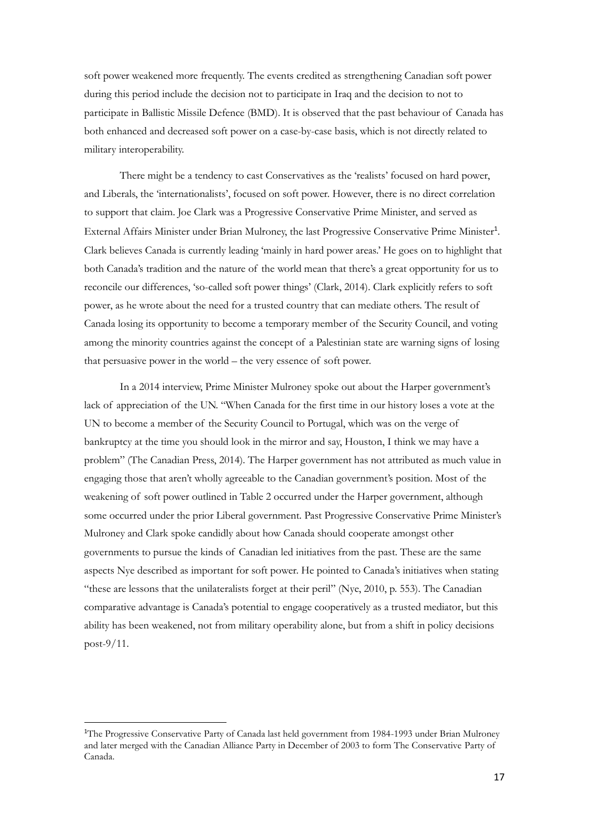soft power weakened more frequently. The events credited as strengthening Canadian soft power during this period include the decision not to participate in Iraq and the decision to not to participate in Ballistic Missile Defence (BMD). It is observed that the past behaviour of Canada has both enhanced and decreased soft power on a case-by-case basis, which is not directly related to military interoperability.

There might be a tendency to cast Conservatives as the 'realists' focused on hard power, and Liberals, the 'internationalists', focused on soft power. However, there is no direct correlation to support that claim. Joe Clark was a Progressive Conservative Prime Minister, and served as External Affairs Minister under Brian Mulroney, the last Progressive Conservative Prime Minister<sup>1</sup>. Clark believes Canada is currently leading 'mainly in hard power areas.' He goes on to highlight that both Canada's tradition and the nature of the world mean that there's a great opportunity for us to reconcile our differences, 'so-called soft power things' (Clark, 2014). Clark explicitly refers to soft power, as he wrote about the need for a trusted country that can mediate others. The result of Canada losing its opportunity to become a temporary member of the Security Council, and voting among the minority countries against the concept of a Palestinian state are warning signs of losing that persuasive power in the world – the very essence of soft power.

In a 2014 interview, Prime Minister Mulroney spoke out about the Harper government's lack of appreciation of the UN. "When Canada for the first time in our history loses a vote at the UN to become a member of the Security Council to Portugal, which was on the verge of bankruptcy at the time you should look in the mirror and say, Houston, I think we may have a problem" (The Canadian Press, 2014). The Harper government has not attributed as much value in engaging those that aren't wholly agreeable to the Canadian government's position. Most of the weakening of soft power outlined in Table 2 occurred under the Harper government, although some occurred under the prior Liberal government. Past Progressive Conservative Prime Minister's Mulroney and Clark spoke candidly about how Canada should cooperate amongst other governments to pursue the kinds of Canadian led initiatives from the past. These are the same aspects Nye described as important for soft power. He pointed to Canada's initiatives when stating "these are lessons that the unilateralists forget at their peril" (Nye, 2010, p. 553). The Canadian comparative advantage is Canada's potential to engage cooperatively as a trusted mediator, but this ability has been weakened, not from military operability alone, but from a shift in policy decisions post-9/11.

**.** 

<sup>&</sup>lt;sup>1</sup>The Progressive Conservative Party of Canada last held government from 1984-1993 under Brian Mulroney and later merged with the Canadian Alliance Party in December of 2003 to form The Conservative Party of Canada.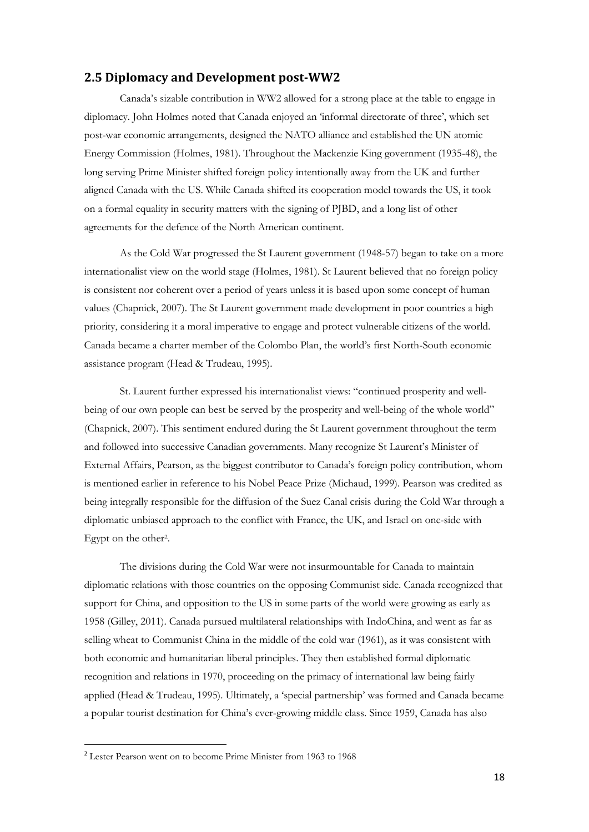#### <span id="page-19-0"></span>**2.5 Diplomacy and Development post-WW2**

Canada's sizable contribution in WW2 allowed for a strong place at the table to engage in diplomacy. John Holmes noted that Canada enjoyed an 'informal directorate of three', which set post-war economic arrangements, designed the NATO alliance and established the UN atomic Energy Commission (Holmes, 1981). Throughout the Mackenzie King government (1935-48), the long serving Prime Minister shifted foreign policy intentionally away from the UK and further aligned Canada with the US. While Canada shifted its cooperation model towards the US, it took on a formal equality in security matters with the signing of PJBD, and a long list of other agreements for the defence of the North American continent.

As the Cold War progressed the St Laurent government (1948-57) began to take on a more internationalist view on the world stage (Holmes, 1981). St Laurent believed that no foreign policy is consistent nor coherent over a period of years unless it is based upon some concept of human values (Chapnick, 2007). The St Laurent government made development in poor countries a high priority, considering it a moral imperative to engage and protect vulnerable citizens of the world. Canada became a charter member of the Colombo Plan, the world's first North-South economic assistance program (Head & Trudeau, 1995).

St. Laurent further expressed his internationalist views: "continued prosperity and wellbeing of our own people can best be served by the prosperity and well-being of the whole world" (Chapnick, 2007). This sentiment endured during the St Laurent government throughout the term and followed into successive Canadian governments. Many recognize St Laurent's Minister of External Affairs, Pearson, as the biggest contributor to Canada's foreign policy contribution, whom is mentioned earlier in reference to his Nobel Peace Prize (Michaud, 1999). Pearson was credited as being integrally responsible for the diffusion of the Suez Canal crisis during the Cold War through a diplomatic unbiased approach to the conflict with France, the UK, and Israel on one-side with Egypt on the other<sup>2</sup> .

The divisions during the Cold War were not insurmountable for Canada to maintain diplomatic relations with those countries on the opposing Communist side. Canada recognized that support for China, and opposition to the US in some parts of the world were growing as early as 1958 (Gilley, 2011). Canada pursued multilateral relationships with IndoChina, and went as far as selling wheat to Communist China in the middle of the cold war (1961), as it was consistent with both economic and humanitarian liberal principles. They then established formal diplomatic recognition and relations in 1970, proceeding on the primacy of international law being fairly applied (Head & Trudeau, 1995). Ultimately, a 'special partnership' was formed and Canada became a popular tourist destination for China's ever-growing middle class. Since 1959, Canada has also

**.** 

<sup>2</sup> Lester Pearson went on to become Prime Minister from 1963 to 1968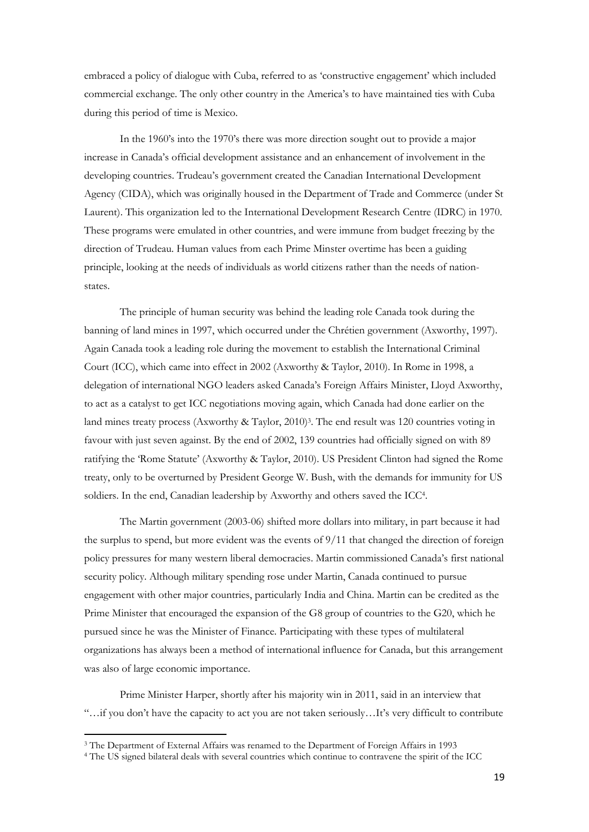embraced a policy of dialogue with Cuba, referred to as 'constructive engagement' which included commercial exchange. The only other country in the America's to have maintained ties with Cuba during this period of time is Mexico.

In the 1960's into the 1970's there was more direction sought out to provide a major increase in Canada's official development assistance and an enhancement of involvement in the developing countries. Trudeau's government created the Canadian International Development Agency (CIDA), which was originally housed in the Department of Trade and Commerce (under St Laurent). This organization led to the International Development Research Centre (IDRC) in 1970. These programs were emulated in other countries, and were immune from budget freezing by the direction of Trudeau. Human values from each Prime Minster overtime has been a guiding principle, looking at the needs of individuals as world citizens rather than the needs of nationstates.

The principle of human security was behind the leading role Canada took during the banning of land mines in 1997, which occurred under the Chrétien government (Axworthy, 1997). Again Canada took a leading role during the movement to establish the International Criminal Court (ICC), which came into effect in 2002 (Axworthy & Taylor, 2010). In Rome in 1998, a delegation of international NGO leaders asked Canada's Foreign Affairs Minister, Lloyd Axworthy, to act as a catalyst to get ICC negotiations moving again, which Canada had done earlier on the land mines treaty process (Axworthy & Taylor, 2010) 3 . The end result was 120 countries voting in favour with just seven against. By the end of 2002, 139 countries had officially signed on with 89 ratifying the 'Rome Statute' (Axworthy & Taylor, 2010). US President Clinton had signed the Rome treaty, only to be overturned by President George W. Bush, with the demands for immunity for US soldiers. In the end, Canadian leadership by Axworthy and others saved the ICC<sup>4</sup> .

The Martin government (2003-06) shifted more dollars into military, in part because it had the surplus to spend, but more evident was the events of  $9/11$  that changed the direction of foreign policy pressures for many western liberal democracies. Martin commissioned Canada's first national security policy. Although military spending rose under Martin, Canada continued to pursue engagement with other major countries, particularly India and China. Martin can be credited as the Prime Minister that encouraged the expansion of the G8 group of countries to the G20, which he pursued since he was the Minister of Finance. Participating with these types of multilateral organizations has always been a method of international influence for Canada, but this arrangement was also of large economic importance.

Prime Minister Harper, shortly after his majority win in 2011, said in an interview that "…if you don't have the capacity to act you are not taken seriously…It's very difficult to contribute

1

<sup>3</sup> The Department of External Affairs was renamed to the Department of Foreign Affairs in 1993

<sup>4</sup> The US signed bilateral deals with several countries which continue to contravene the spirit of the ICC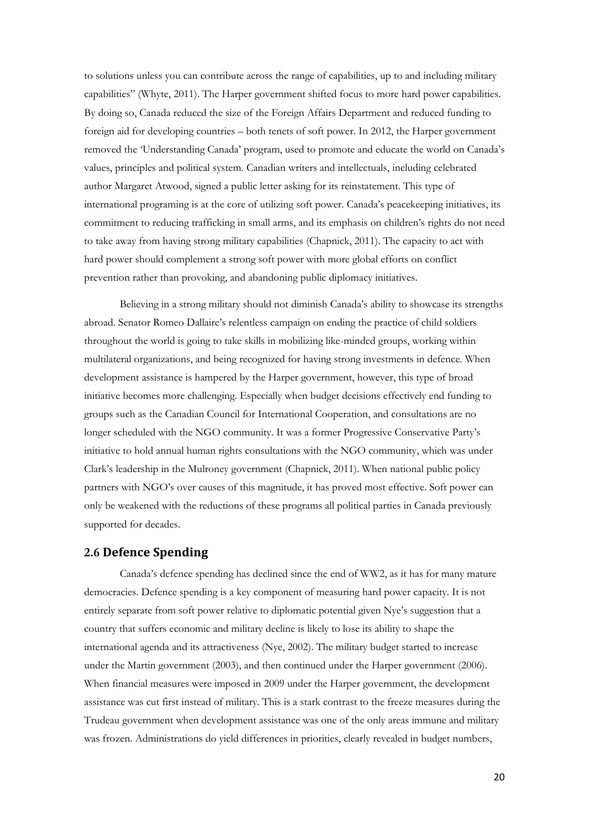to solutions unless you can contribute across the range of capabilities, up to and including military capabilities" (Whyte, 2011). The Harper government shifted focus to more hard power capabilities. By doing so, Canada reduced the size of the Foreign Affairs Department and reduced funding to foreign aid for developing countries – both tenets of soft power. In 2012, the Harper government removed the 'Understanding Canada' program, used to promote and educate the world on Canada's values, principles and political system. Canadian writers and intellectuals, including celebrated author Margaret Atwood, signed a public letter asking for its reinstatement. This type of international programing is at the core of utilizing soft power. Canada's peacekeeping initiatives, its commitment to reducing trafficking in small arms, and its emphasis on children's rights do not need to take away from having strong military capabilities (Chapnick, 2011). The capacity to act with hard power should complement a strong soft power with more global efforts on conflict prevention rather than provoking, and abandoning public diplomacy initiatives.

Believing in a strong military should not diminish Canada's ability to showcase its strengths abroad. Senator Romeo Dallaire's relentless campaign on ending the practice of child soldiers throughout the world is going to take skills in mobilizing like-minded groups, working within multilateral organizations, and being recognized for having strong investments in defence. When development assistance is hampered by the Harper government, however, this type of broad initiative becomes more challenging. Especially when budget decisions effectively end funding to groups such as the Canadian Council for International Cooperation, and consultations are no longer scheduled with the NGO community. It was a former Progressive Conservative Party's initiative to hold annual human rights consultations with the NGO community, which was under Clark's leadership in the Mulroney government (Chapnick, 2011). When national public policy partners with NGO's over causes of this magnitude, it has proved most effective. Soft power can only be weakened with the reductions of these programs all political parties in Canada previously supported for decades.

#### <span id="page-21-0"></span>**2.6 Defence Spending**

Canada's defence spending has declined since the end of WW2, as it has for many mature democracies. Defence spending is a key component of measuring hard power capacity. It is not entirely separate from soft power relative to diplomatic potential given Nye's suggestion that a country that suffers economic and military decline is likely to lose its ability to shape the international agenda and its attractiveness (Nye, 2002). The military budget started to increase under the Martin government (2003), and then continued under the Harper government (2006). When financial measures were imposed in 2009 under the Harper government, the development assistance was cut first instead of military. This is a stark contrast to the freeze measures during the Trudeau government when development assistance was one of the only areas immune and military was frozen. Administrations do yield differences in priorities, clearly revealed in budget numbers,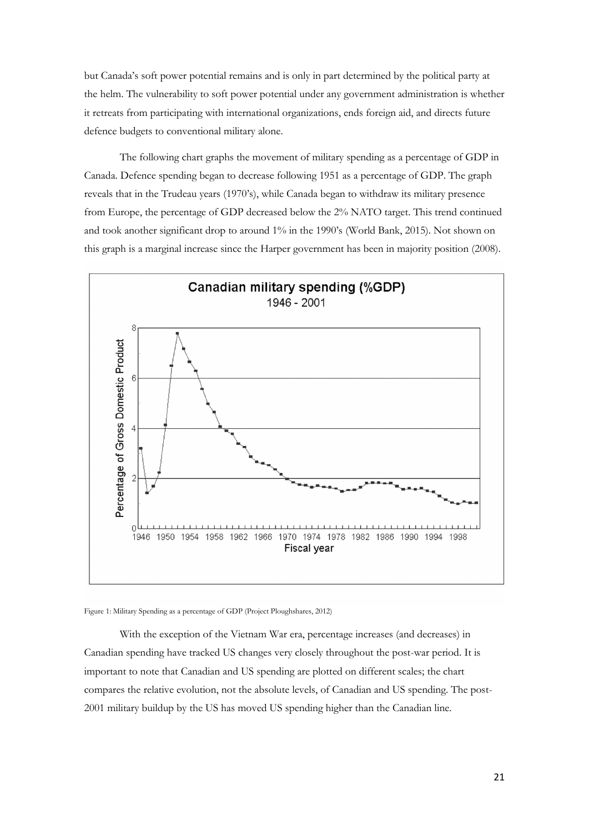but Canada's soft power potential remains and is only in part determined by the political party at the helm. The vulnerability to soft power potential under any government administration is whether it retreats from participating with international organizations, ends foreign aid, and directs future defence budgets to conventional military alone.

The following chart graphs the movement of military spending as a percentage of GDP in Canada. Defence spending began to decrease following 1951 as a percentage of GDP. The graph reveals that in the Trudeau years (1970's), while Canada began to withdraw its military presence from Europe, the percentage of GDP decreased below the 2% NATO target. This trend continued and took another significant drop to around 1% in the 1990's (World Bank, 2015). Not shown on this graph is a marginal increase since the Harper government has been in majority position (2008).



Figure 1: Military Spending as a percentage of GDP (Project Ploughshares, 2012)

With the exception of the Vietnam War era, percentage increases (and decreases) in Canadian spending have tracked US changes very closely throughout the post-war period. It is important to note that Canadian and US spending are plotted on different scales; the chart compares the relative evolution, not the absolute levels, of Canadian and US spending. The post-2001 military buildup by the US has moved US spending higher than the Canadian line.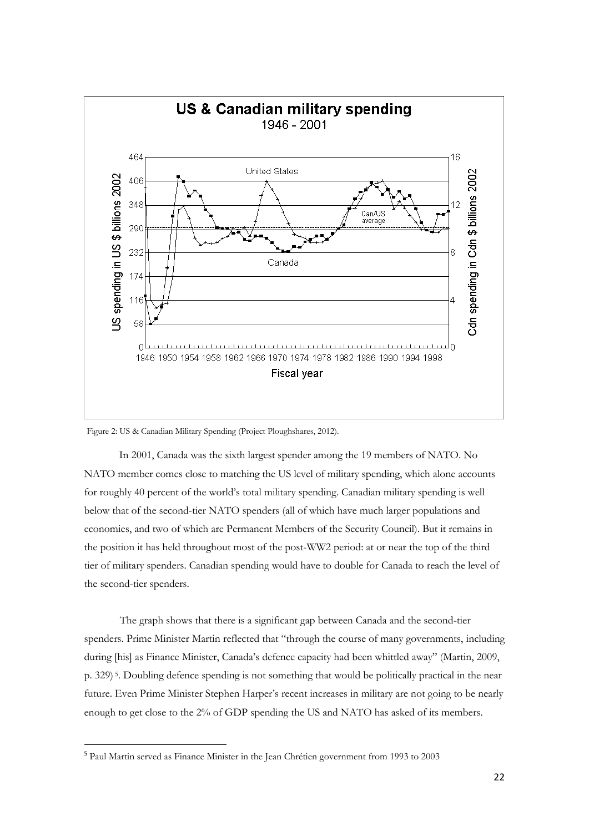

Figure 2: US & Canadian Military Spending (Project Ploughshares, 2012).

In 2001, Canada was the sixth largest spender among the 19 members of NATO. No NATO member comes close to matching the US level of military spending, which alone accounts for roughly 40 percent of the world's total military spending. Canadian military spending is well below that of the second-tier NATO spenders (all of which have much larger populations and economies, and two of which are Permanent Members of the Security Council). But it remains in the position it has held throughout most of the post-WW2 period: at or near the top of the third tier of military spenders. Canadian spending would have to double for Canada to reach the level of the second-tier spenders.

The graph shows that there is a significant gap between Canada and the second-tier spenders. Prime Minister Martin reflected that "through the course of many governments, including during [his] as Finance Minister, Canada's defence capacity had been whittled away" (Martin, 2009, p. 329) <sup>5</sup> . Doubling defence spending is not something that would be politically practical in the near future. Even Prime Minister Stephen Harper's recent increases in military are not going to be nearly enough to get close to the 2% of GDP spending the US and NATO has asked of its members.

**.** 

<sup>5</sup> Paul Martin served as Finance Minister in the Jean Chrétien government from 1993 to 2003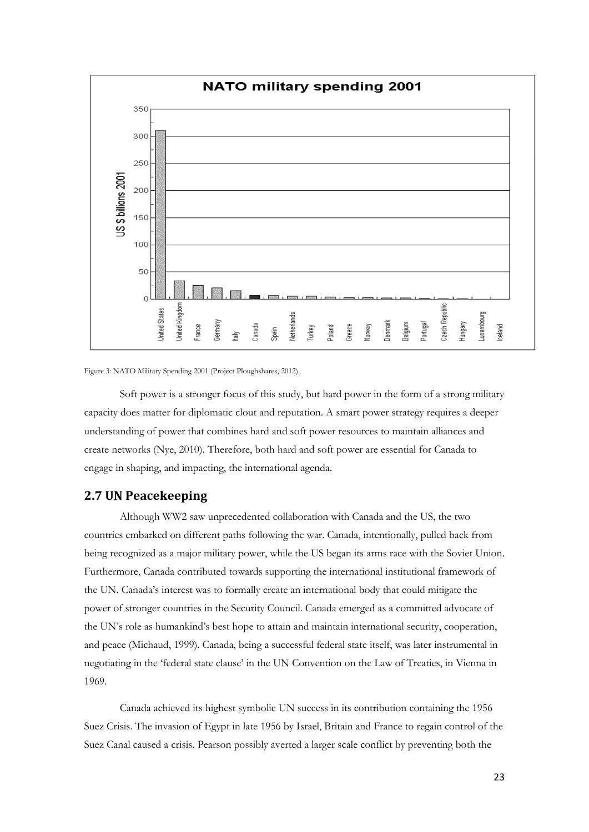

Figure 3: NATO Military Spending 2001 (Project Ploughshares, 2012).

Soft power is a stronger focus of this study, but hard power in the form of a strong military capacity does matter for diplomatic clout and reputation. A smart power strategy requires a deeper understanding of power that combines hard and soft power resources to maintain alliances and create networks (Nye, 2010). Therefore, both hard and soft power are essential for Canada to engage in shaping, and impacting, the international agenda.

### <span id="page-24-0"></span>**2.7 UN Peacekeeping**

Although WW2 saw unprecedented collaboration with Canada and the US, the two countries embarked on different paths following the war. Canada, intentionally, pulled back from being recognized as a major military power, while the US began its arms race with the Soviet Union. Furthermore, Canada contributed towards supporting the international institutional framework of the UN. Canada's interest was to formally create an international body that could mitigate the power of stronger countries in the Security Council. Canada emerged as a committed advocate of the UN's role as humankind's best hope to attain and maintain international security, cooperation, and peace (Michaud, 1999). Canada, being a successful federal state itself, was later instrumental in negotiating in the 'federal state clause' in the UN Convention on the Law of Treaties, in Vienna in 1969.

Canada achieved its highest symbolic UN success in its contribution containing the 1956 Suez Crisis. The invasion of Egypt in late 1956 by Israel, Britain and France to regain control of the Suez Canal caused a crisis. Pearson possibly averted a larger scale conflict by preventing both the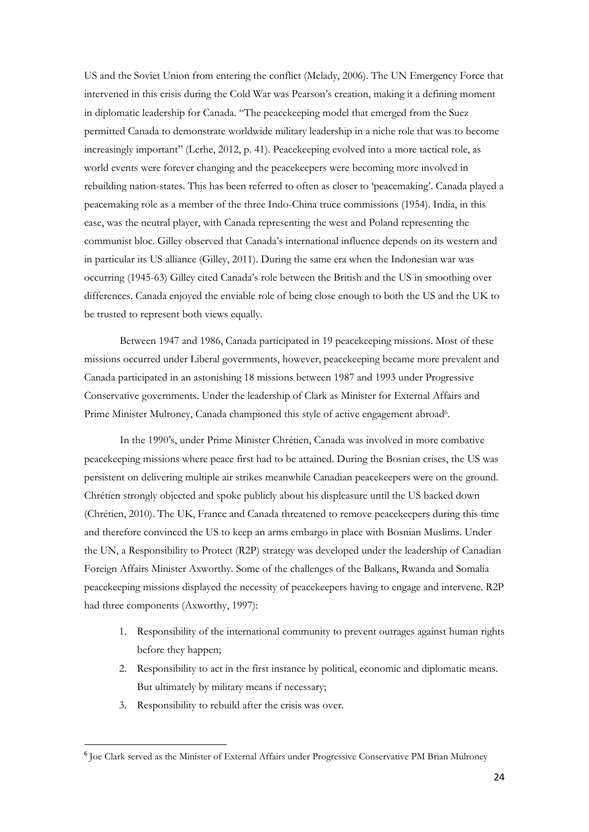US and the Soviet Union from entering the conflict (Melady, 2006). The UN Emergency Force that intervened in this crisis during the Cold War was Pearson's creation, making it a defining moment in diplomatic leadership for Canada. "The peacekeeping model that emerged from the Suez permitted Canada to demonstrate worldwide military leadership in a niche role that was to become increasingly important" (Lerhe, 2012, p. 41). Peacekeeping evolved into a more tactical role, as world events were forever changing and the peacekeepers were becoming more involved in rebuilding nation-states. This has been referred to often as closer to 'peacemaking'. Canada played a peacemaking role as a member of the three Indo-China truce commissions (1954). India, in this case, was the neutral player, with Canada representing the west and Poland representing the communist bloc. Gilley observed that Canada's international influence depends on its western and in particular its US alliance (Gilley, 2011). During the same era when the Indonesian war was occurring (1945-63) Gilley cited Canada's role between the British and the US in smoothing over differences. Canada enjoyed the enviable role of being close enough to both the US and the UK to be trusted to represent both views equally.

Between 1947 and 1986, Canada participated in 19 peacekeeping missions. Most of these missions occurred under Liberal governments, however, peacekeeping became more prevalent and Canada participated in an astonishing 18 missions between 1987 and 1993 under Progressive Conservative governments. Under the leadership of Clark as Minister for External Affairs and Prime Minister Mulroney, Canada championed this style of active engagement abroad<sup>6</sup>.

In the 1990's, under Prime Minister Chrétien, Canada was involved in more combative peacekeeping missions where peace first had to be attained. During the Bosnian crises, the US was persistent on delivering multiple air strikes meanwhile Canadian peacekeepers were on the ground. Chrétien strongly objected and spoke publicly about his displeasure until the US backed down (Chrétien, 2010). The UK, France and Canada threatened to remove peacekeepers during this time and therefore convinced the US to keep an arms embargo in place with Bosnian Muslims. Under the UN, a Responsibility to Protect (R2P) strategy was developed under the leadership of Canadian Foreign Affairs Minister Axworthy. Some of the challenges of the Balkans, Rwanda and Somalia peacekeeping missions displayed the necessity of peacekeepers having to engage and intervene. R2P had three components (Axworthy, 1997):

- 1. Responsibility of the international community to prevent outrages against human rights before they happen;
- 2. Responsibility to act in the first instance by political, economic and diplomatic means. But ultimately by military means if necessary;
- 3. Responsibility to rebuild after the crisis was over.

**.** 

<sup>&</sup>lt;sup>6</sup> Joe Clark served as the Minister of External Affairs under Progressive Conservative PM Brian Mulroney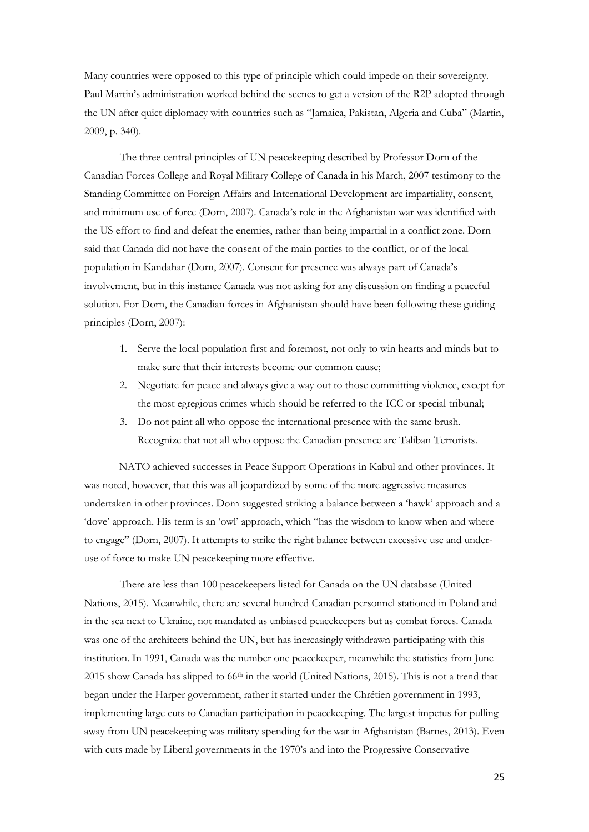Many countries were opposed to this type of principle which could impede on their sovereignty. Paul Martin's administration worked behind the scenes to get a version of the R2P adopted through the UN after quiet diplomacy with countries such as "Jamaica, Pakistan, Algeria and Cuba" (Martin, 2009, p. 340).

The three central principles of UN peacekeeping described by Professor Dorn of the Canadian Forces College and Royal Military College of Canada in his March, 2007 testimony to the Standing Committee on Foreign Affairs and International Development are impartiality, consent, and minimum use of force (Dorn, 2007). Canada's role in the Afghanistan war was identified with the US effort to find and defeat the enemies, rather than being impartial in a conflict zone. Dorn said that Canada did not have the consent of the main parties to the conflict, or of the local population in Kandahar (Dorn, 2007). Consent for presence was always part of Canada's involvement, but in this instance Canada was not asking for any discussion on finding a peaceful solution. For Dorn, the Canadian forces in Afghanistan should have been following these guiding principles (Dorn, 2007):

- 1. Serve the local population first and foremost, not only to win hearts and minds but to make sure that their interests become our common cause;
- 2. Negotiate for peace and always give a way out to those committing violence, except for the most egregious crimes which should be referred to the ICC or special tribunal;
- 3. Do not paint all who oppose the international presence with the same brush. Recognize that not all who oppose the Canadian presence are Taliban Terrorists.

NATO achieved successes in Peace Support Operations in Kabul and other provinces. It was noted, however, that this was all jeopardized by some of the more aggressive measures undertaken in other provinces. Dorn suggested striking a balance between a 'hawk' approach and a 'dove' approach. His term is an 'owl' approach, which "has the wisdom to know when and where to engage" (Dorn, 2007). It attempts to strike the right balance between excessive use and underuse of force to make UN peacekeeping more effective.

There are less than 100 peacekeepers listed for Canada on the UN database (United Nations, 2015). Meanwhile, there are several hundred Canadian personnel stationed in Poland and in the sea next to Ukraine, not mandated as unbiased peacekeepers but as combat forces. Canada was one of the architects behind the UN, but has increasingly withdrawn participating with this institution. In 1991, Canada was the number one peacekeeper, meanwhile the statistics from June  $2015$  show Canada has slipped to 66<sup>th</sup> in the world (United Nations, 2015). This is not a trend that began under the Harper government, rather it started under the Chrétien government in 1993, implementing large cuts to Canadian participation in peacekeeping. The largest impetus for pulling away from UN peacekeeping was military spending for the war in Afghanistan (Barnes, 2013). Even with cuts made by Liberal governments in the 1970's and into the Progressive Conservative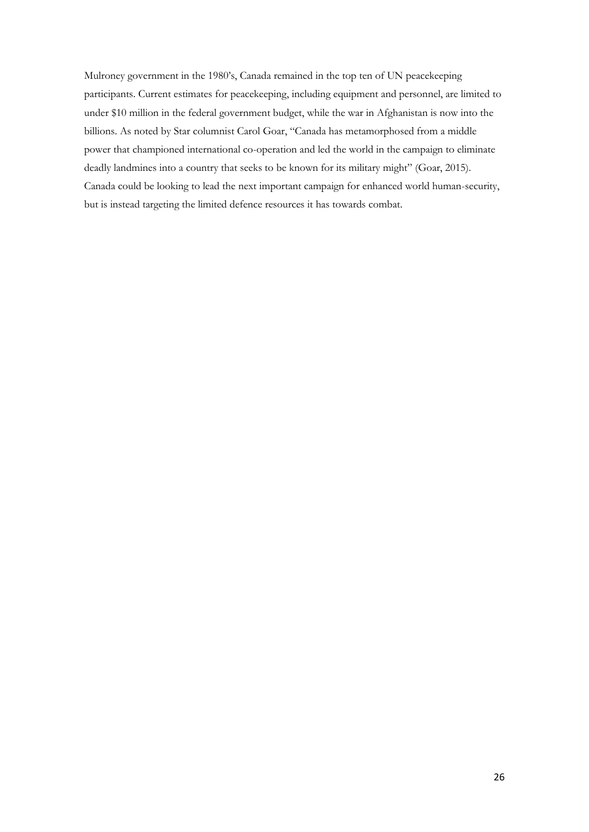Mulroney government in the 1980's, Canada remained in the top ten of UN peacekeeping participants. Current estimates for peacekeeping, including equipment and personnel, are limited to under \$10 million in the federal government budget, while the war in Afghanistan is now into the billions. As noted by Star columnist Carol Goar, "Canada has metamorphosed from a middle power that championed international co-operation and led the world in the campaign to eliminate deadly landmines into a country that seeks to be known for its military might" (Goar, 2015). Canada could be looking to lead the next important campaign for enhanced world human-security, but is instead targeting the limited defence resources it has towards combat.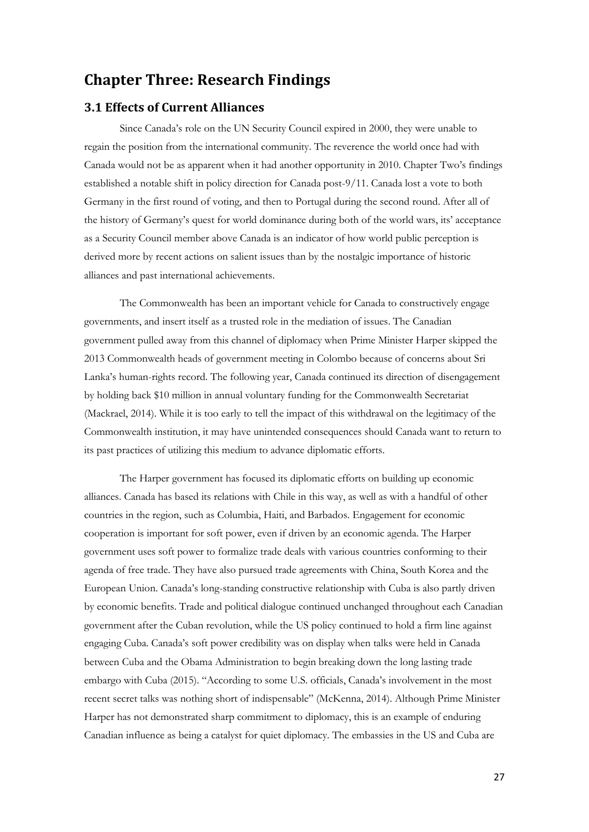## <span id="page-28-0"></span>**Chapter Three: Research Findings**

## <span id="page-28-1"></span>**3.1 Effects of Current Alliances**

Since Canada's role on the UN Security Council expired in 2000, they were unable to regain the position from the international community. The reverence the world once had with Canada would not be as apparent when it had another opportunity in 2010. Chapter Two's findings established a notable shift in policy direction for Canada post-9/11. Canada lost a vote to both Germany in the first round of voting, and then to Portugal during the second round. After all of the history of Germany's quest for world dominance during both of the world wars, its' acceptance as a Security Council member above Canada is an indicator of how world public perception is derived more by recent actions on salient issues than by the nostalgic importance of historic alliances and past international achievements.

The Commonwealth has been an important vehicle for Canada to constructively engage governments, and insert itself as a trusted role in the mediation of issues. The Canadian government pulled away from this channel of diplomacy when Prime Minister Harper skipped the 2013 Commonwealth heads of government meeting in Colombo because of concerns about Sri Lanka's human-rights record. The following year, Canada continued its direction of disengagement by holding back \$10 million in annual voluntary funding for the Commonwealth Secretariat (Mackrael, 2014). While it is too early to tell the impact of this withdrawal on the legitimacy of the Commonwealth institution, it may have unintended consequences should Canada want to return to its past practices of utilizing this medium to advance diplomatic efforts.

The Harper government has focused its diplomatic efforts on building up economic alliances. Canada has based its relations with Chile in this way, as well as with a handful of other countries in the region, such as Columbia, Haiti, and Barbados. Engagement for economic cooperation is important for soft power, even if driven by an economic agenda. The Harper government uses soft power to formalize trade deals with various countries conforming to their agenda of free trade. They have also pursued trade agreements with China, South Korea and the European Union. Canada's long-standing constructive relationship with Cuba is also partly driven by economic benefits. Trade and political dialogue continued unchanged throughout each Canadian government after the Cuban revolution, while the US policy continued to hold a firm line against engaging Cuba. Canada's soft power credibility was on display when talks were held in Canada between Cuba and the Obama Administration to begin breaking down the long lasting trade embargo with Cuba (2015). "According to some U.S. officials, Canada's involvement in the most recent secret talks was nothing short of indispensable" (McKenna, 2014). Although Prime Minister Harper has not demonstrated sharp commitment to diplomacy, this is an example of enduring Canadian influence as being a catalyst for quiet diplomacy. The embassies in the US and Cuba are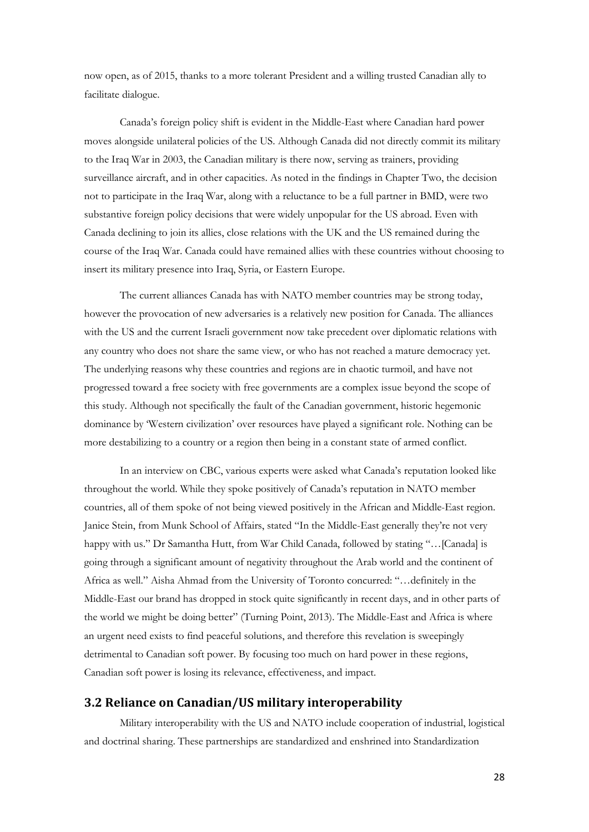now open, as of 2015, thanks to a more tolerant President and a willing trusted Canadian ally to facilitate dialogue.

Canada's foreign policy shift is evident in the Middle-East where Canadian hard power moves alongside unilateral policies of the US. Although Canada did not directly commit its military to the Iraq War in 2003, the Canadian military is there now, serving as trainers, providing surveillance aircraft, and in other capacities. As noted in the findings in Chapter Two, the decision not to participate in the Iraq War, along with a reluctance to be a full partner in BMD, were two substantive foreign policy decisions that were widely unpopular for the US abroad. Even with Canada declining to join its allies, close relations with the UK and the US remained during the course of the Iraq War. Canada could have remained allies with these countries without choosing to insert its military presence into Iraq, Syria, or Eastern Europe.

The current alliances Canada has with NATO member countries may be strong today, however the provocation of new adversaries is a relatively new position for Canada. The alliances with the US and the current Israeli government now take precedent over diplomatic relations with any country who does not share the same view, or who has not reached a mature democracy yet. The underlying reasons why these countries and regions are in chaotic turmoil, and have not progressed toward a free society with free governments are a complex issue beyond the scope of this study. Although not specifically the fault of the Canadian government, historic hegemonic dominance by 'Western civilization' over resources have played a significant role. Nothing can be more destabilizing to a country or a region then being in a constant state of armed conflict.

In an interview on CBC, various experts were asked what Canada's reputation looked like throughout the world. While they spoke positively of Canada's reputation in NATO member countries, all of them spoke of not being viewed positively in the African and Middle-East region. Janice Stein, from Munk School of Affairs, stated "In the Middle-East generally they're not very happy with us." Dr Samantha Hutt, from War Child Canada, followed by stating "... [Canada] is going through a significant amount of negativity throughout the Arab world and the continent of Africa as well." Aisha Ahmad from the University of Toronto concurred: "…definitely in the Middle-East our brand has dropped in stock quite significantly in recent days, and in other parts of the world we might be doing better" (Turning Point, 2013). The Middle-East and Africa is where an urgent need exists to find peaceful solutions, and therefore this revelation is sweepingly detrimental to Canadian soft power. By focusing too much on hard power in these regions, Canadian soft power is losing its relevance, effectiveness, and impact.

#### <span id="page-29-0"></span>**3.2 Reliance on Canadian/US military interoperability**

Military interoperability with the US and NATO include cooperation of industrial, logistical and doctrinal sharing. These partnerships are standardized and enshrined into Standardization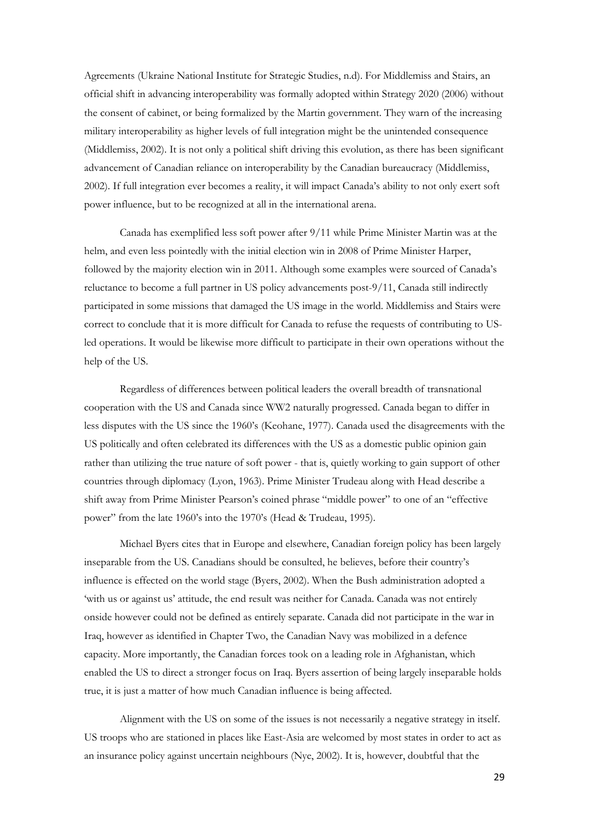Agreements (Ukraine National Institute for Strategic Studies, n.d). For Middlemiss and Stairs, an official shift in advancing interoperability was formally adopted within Strategy 2020 (2006) without the consent of cabinet, or being formalized by the Martin government. They warn of the increasing military interoperability as higher levels of full integration might be the unintended consequence (Middlemiss, 2002). It is not only a political shift driving this evolution, as there has been significant advancement of Canadian reliance on interoperability by the Canadian bureaucracy (Middlemiss, 2002). If full integration ever becomes a reality, it will impact Canada's ability to not only exert soft power influence, but to be recognized at all in the international arena.

Canada has exemplified less soft power after 9/11 while Prime Minister Martin was at the helm, and even less pointedly with the initial election win in 2008 of Prime Minister Harper, followed by the majority election win in 2011. Although some examples were sourced of Canada's reluctance to become a full partner in US policy advancements post-9/11, Canada still indirectly participated in some missions that damaged the US image in the world. Middlemiss and Stairs were correct to conclude that it is more difficult for Canada to refuse the requests of contributing to USled operations. It would be likewise more difficult to participate in their own operations without the help of the US.

Regardless of differences between political leaders the overall breadth of transnational cooperation with the US and Canada since WW2 naturally progressed. Canada began to differ in less disputes with the US since the 1960's (Keohane, 1977). Canada used the disagreements with the US politically and often celebrated its differences with the US as a domestic public opinion gain rather than utilizing the true nature of soft power - that is, quietly working to gain support of other countries through diplomacy (Lyon, 1963). Prime Minister Trudeau along with Head describe a shift away from Prime Minister Pearson's coined phrase "middle power" to one of an "effective power" from the late 1960's into the 1970's (Head & Trudeau, 1995).

Michael Byers cites that in Europe and elsewhere, Canadian foreign policy has been largely inseparable from the US. Canadians should be consulted, he believes, before their country's influence is effected on the world stage (Byers, 2002). When the Bush administration adopted a 'with us or against us' attitude, the end result was neither for Canada. Canada was not entirely onside however could not be defined as entirely separate. Canada did not participate in the war in Iraq, however as identified in Chapter Two, the Canadian Navy was mobilized in a defence capacity. More importantly, the Canadian forces took on a leading role in Afghanistan, which enabled the US to direct a stronger focus on Iraq. Byers assertion of being largely inseparable holds true, it is just a matter of how much Canadian influence is being affected.

Alignment with the US on some of the issues is not necessarily a negative strategy in itself. US troops who are stationed in places like East-Asia are welcomed by most states in order to act as an insurance policy against uncertain neighbours (Nye, 2002). It is, however, doubtful that the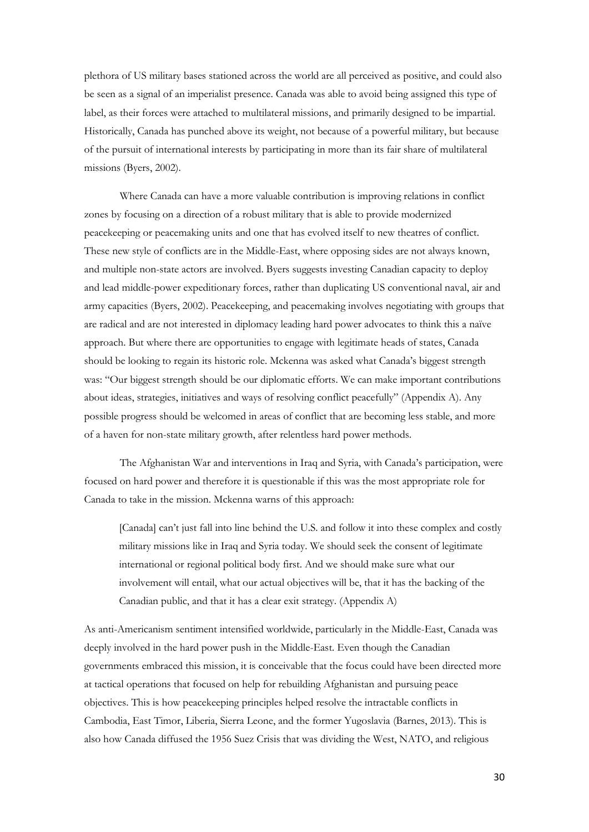plethora of US military bases stationed across the world are all perceived as positive, and could also be seen as a signal of an imperialist presence. Canada was able to avoid being assigned this type of label, as their forces were attached to multilateral missions, and primarily designed to be impartial. Historically, Canada has punched above its weight, not because of a powerful military, but because of the pursuit of international interests by participating in more than its fair share of multilateral missions (Byers, 2002).

Where Canada can have a more valuable contribution is improving relations in conflict zones by focusing on a direction of a robust military that is able to provide modernized peacekeeping or peacemaking units and one that has evolved itself to new theatres of conflict. These new style of conflicts are in the Middle-East, where opposing sides are not always known, and multiple non-state actors are involved. Byers suggests investing Canadian capacity to deploy and lead middle-power expeditionary forces, rather than duplicating US conventional naval, air and army capacities (Byers, 2002). Peacekeeping, and peacemaking involves negotiating with groups that are radical and are not interested in diplomacy leading hard power advocates to think this a naïve approach. But where there are opportunities to engage with legitimate heads of states, Canada should be looking to regain its historic role. Mckenna was asked what Canada's biggest strength was: "Our biggest strength should be our diplomatic efforts. We can make important contributions about ideas, strategies, initiatives and ways of resolving conflict peacefully" (Appendix A). Any possible progress should be welcomed in areas of conflict that are becoming less stable, and more of a haven for non-state military growth, after relentless hard power methods.

The Afghanistan War and interventions in Iraq and Syria, with Canada's participation, were focused on hard power and therefore it is questionable if this was the most appropriate role for Canada to take in the mission. Mckenna warns of this approach:

[Canada] can't just fall into line behind the U.S. and follow it into these complex and costly military missions like in Iraq and Syria today. We should seek the consent of legitimate international or regional political body first. And we should make sure what our involvement will entail, what our actual objectives will be, that it has the backing of the Canadian public, and that it has a clear exit strategy. (Appendix A)

As anti-Americanism sentiment intensified worldwide, particularly in the Middle-East, Canada was deeply involved in the hard power push in the Middle-East. Even though the Canadian governments embraced this mission, it is conceivable that the focus could have been directed more at tactical operations that focused on help for rebuilding Afghanistan and pursuing peace objectives. This is how peacekeeping principles helped resolve the intractable conflicts in Cambodia, East Timor, Liberia, Sierra Leone, and the former Yugoslavia (Barnes, 2013). This is also how Canada diffused the 1956 Suez Crisis that was dividing the West, NATO, and religious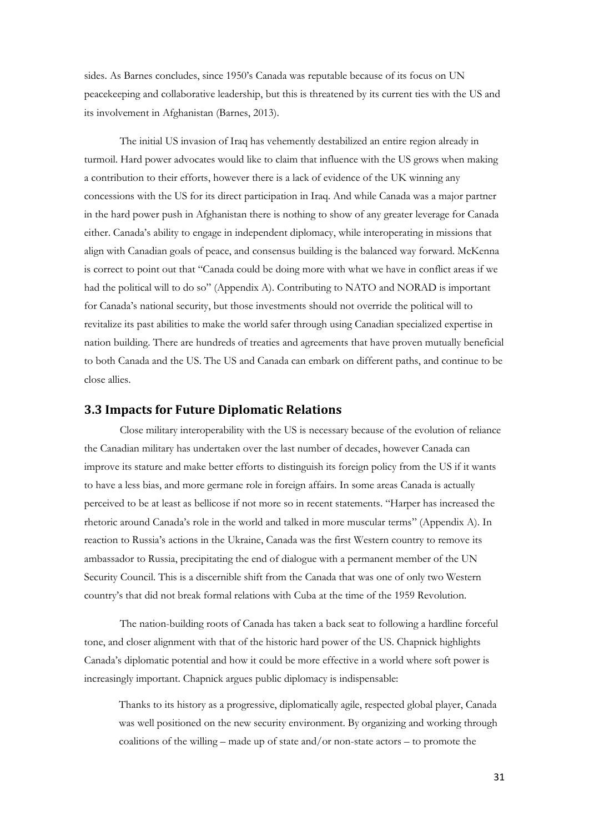sides. As Barnes concludes, since 1950's Canada was reputable because of its focus on UN peacekeeping and collaborative leadership, but this is threatened by its current ties with the US and its involvement in Afghanistan (Barnes, 2013).

The initial US invasion of Iraq has vehemently destabilized an entire region already in turmoil. Hard power advocates would like to claim that influence with the US grows when making a contribution to their efforts, however there is a lack of evidence of the UK winning any concessions with the US for its direct participation in Iraq. And while Canada was a major partner in the hard power push in Afghanistan there is nothing to show of any greater leverage for Canada either. Canada's ability to engage in independent diplomacy, while interoperating in missions that align with Canadian goals of peace, and consensus building is the balanced way forward. McKenna is correct to point out that "Canada could be doing more with what we have in conflict areas if we had the political will to do so" (Appendix A). Contributing to NATO and NORAD is important for Canada's national security, but those investments should not override the political will to revitalize its past abilities to make the world safer through using Canadian specialized expertise in nation building. There are hundreds of treaties and agreements that have proven mutually beneficial to both Canada and the US. The US and Canada can embark on different paths, and continue to be close allies.

#### <span id="page-32-0"></span>**3.3 Impacts for Future Diplomatic Relations**

Close military interoperability with the US is necessary because of the evolution of reliance the Canadian military has undertaken over the last number of decades, however Canada can improve its stature and make better efforts to distinguish its foreign policy from the US if it wants to have a less bias, and more germane role in foreign affairs. In some areas Canada is actually perceived to be at least as bellicose if not more so in recent statements. "Harper has increased the rhetoric around Canada's role in the world and talked in more muscular terms" (Appendix A). In reaction to Russia's actions in the Ukraine, Canada was the first Western country to remove its ambassador to Russia, precipitating the end of dialogue with a permanent member of the UN Security Council. This is a discernible shift from the Canada that was one of only two Western country's that did not break formal relations with Cuba at the time of the 1959 Revolution.

The nation-building roots of Canada has taken a back seat to following a hardline forceful tone, and closer alignment with that of the historic hard power of the US. Chapnick highlights Canada's diplomatic potential and how it could be more effective in a world where soft power is increasingly important. Chapnick argues public diplomacy is indispensable:

Thanks to its history as a progressive, diplomatically agile, respected global player, Canada was well positioned on the new security environment. By organizing and working through coalitions of the willing – made up of state and/or non-state actors – to promote the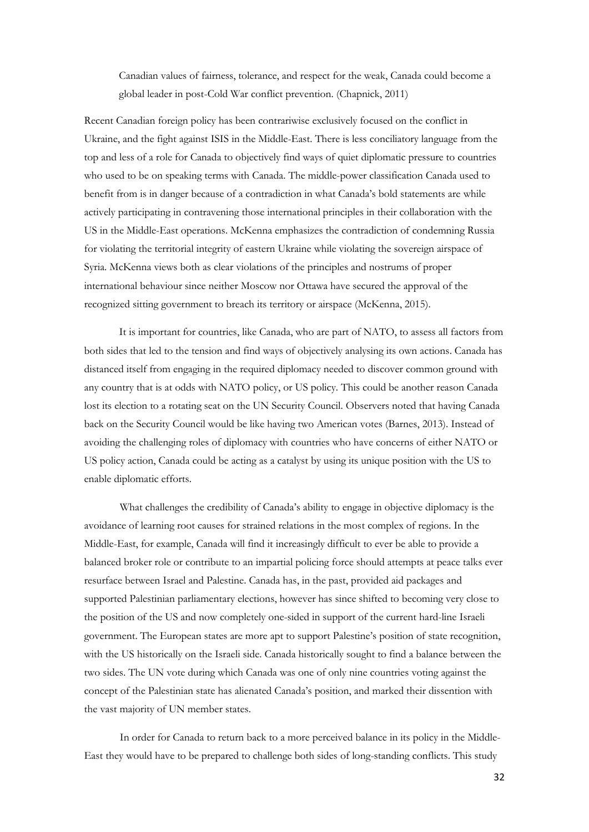Canadian values of fairness, tolerance, and respect for the weak, Canada could become a global leader in post-Cold War conflict prevention. (Chapnick, 2011)

Recent Canadian foreign policy has been contrariwise exclusively focused on the conflict in Ukraine, and the fight against ISIS in the Middle-East. There is less conciliatory language from the top and less of a role for Canada to objectively find ways of quiet diplomatic pressure to countries who used to be on speaking terms with Canada. The middle-power classification Canada used to benefit from is in danger because of a contradiction in what Canada's bold statements are while actively participating in contravening those international principles in their collaboration with the US in the Middle-East operations. McKenna emphasizes the contradiction of condemning Russia for violating the territorial integrity of eastern Ukraine while violating the sovereign airspace of Syria. McKenna views both as clear violations of the principles and nostrums of proper international behaviour since neither Moscow nor Ottawa have secured the approval of the recognized sitting government to breach its territory or airspace (McKenna, 2015).

It is important for countries, like Canada, who are part of NATO, to assess all factors from both sides that led to the tension and find ways of objectively analysing its own actions. Canada has distanced itself from engaging in the required diplomacy needed to discover common ground with any country that is at odds with NATO policy, or US policy. This could be another reason Canada lost its election to a rotating seat on the UN Security Council. Observers noted that having Canada back on the Security Council would be like having two American votes (Barnes, 2013). Instead of avoiding the challenging roles of diplomacy with countries who have concerns of either NATO or US policy action, Canada could be acting as a catalyst by using its unique position with the US to enable diplomatic efforts.

What challenges the credibility of Canada's ability to engage in objective diplomacy is the avoidance of learning root causes for strained relations in the most complex of regions. In the Middle-East, for example, Canada will find it increasingly difficult to ever be able to provide a balanced broker role or contribute to an impartial policing force should attempts at peace talks ever resurface between Israel and Palestine. Canada has, in the past, provided aid packages and supported Palestinian parliamentary elections, however has since shifted to becoming very close to the position of the US and now completely one-sided in support of the current hard-line Israeli government. The European states are more apt to support Palestine's position of state recognition, with the US historically on the Israeli side. Canada historically sought to find a balance between the two sides. The UN vote during which Canada was one of only nine countries voting against the concept of the Palestinian state has alienated Canada's position, and marked their dissention with the vast majority of UN member states.

In order for Canada to return back to a more perceived balance in its policy in the Middle-East they would have to be prepared to challenge both sides of long-standing conflicts. This study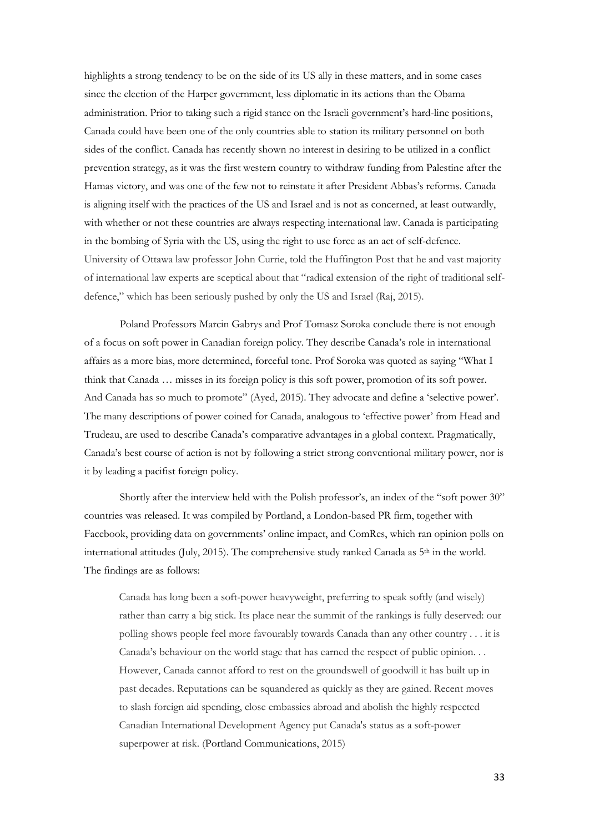highlights a strong tendency to be on the side of its US ally in these matters, and in some cases since the election of the Harper government, less diplomatic in its actions than the Obama administration. Prior to taking such a rigid stance on the Israeli government's hard-line positions, Canada could have been one of the only countries able to station its military personnel on both sides of the conflict. Canada has recently shown no interest in desiring to be utilized in a conflict prevention strategy, as it was the first western country to withdraw funding from Palestine after the Hamas victory, and was one of the few not to reinstate it after President Abbas's reforms. Canada is aligning itself with the practices of the US and Israel and is not as concerned, at least outwardly, with whether or not these countries are always respecting international law. Canada is participating in the bombing of Syria with the US, using the right to use force as an act of self-defence. University of Ottawa law professor John Currie, told the Huffington Post that he and vast majority of international law experts are sceptical about that "radical extension of the right of traditional selfdefence," which has been seriously pushed by only the US and Israel (Raj, 2015).

Poland Professors Marcin Gabrys and Prof Tomasz Soroka conclude there is not enough of a focus on soft power in Canadian foreign policy. They describe Canada's role in international affairs as a more bias, more determined, forceful tone. Prof Soroka was quoted as saying "What I think that Canada … misses in its foreign policy is this soft power, promotion of its soft power. And Canada has so much to promote" (Ayed, 2015). They advocate and define a 'selective power'. The many descriptions of power coined for Canada, analogous to 'effective power' from Head and Trudeau, are used to describe Canada's comparative advantages in a global context. Pragmatically, Canada's best course of action is not by following a strict strong conventional military power, nor is it by leading a pacifist foreign policy.

Shortly after the interview held with the Polish professor's, an index of the "soft power 30" countries was released. It was compiled by Portland, a London-based PR firm, together with Facebook, providing data on governments' online impact, and ComRes, which ran opinion polls on international attitudes (July, 2015). The comprehensive study ranked Canada as 5th in the world. The findings are as follows:

Canada has long been a soft-power heavyweight, preferring to speak softly (and wisely) rather than carry a big stick. Its place near the summit of the rankings is fully deserved: our polling shows people feel more favourably towards Canada than any other country . . . it is Canada's behaviour on the world stage that has earned the respect of public opinion. . . However, Canada cannot afford to rest on the groundswell of goodwill it has built up in past decades. Reputations can be squandered as quickly as they are gained. Recent moves to slash foreign aid spending, close embassies abroad and abolish the highly respected Canadian International Development Agency put Canada's status as a soft-power superpower at risk. (Portland Communications, 2015)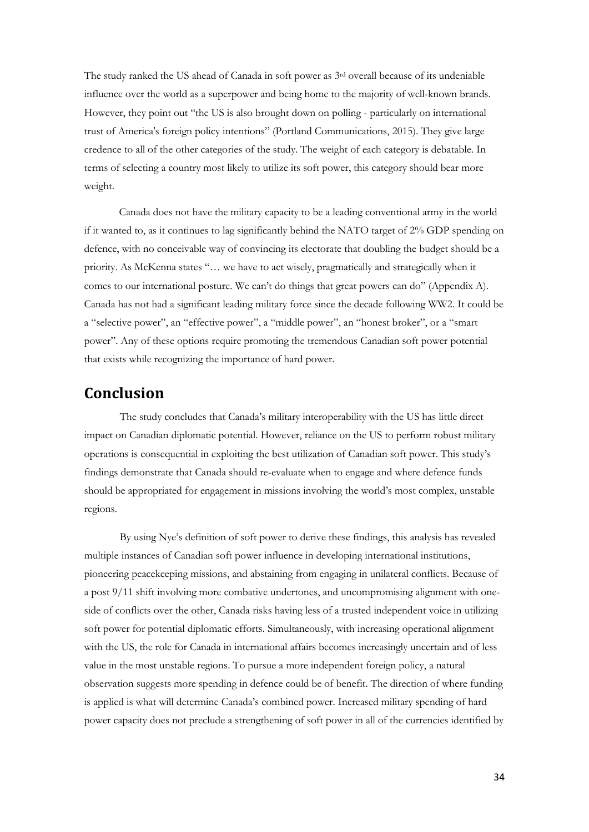The study ranked the US ahead of Canada in soft power as 3rd overall because of its undeniable influence over the world as a superpower and being home to the majority of well-known brands. However, they point out "the US is also brought down on polling - particularly on international trust of America's foreign policy intentions" (Portland Communications, 2015). They give large credence to all of the other categories of the study. The weight of each category is debatable. In terms of selecting a country most likely to utilize its soft power, this category should bear more weight.

Canada does not have the military capacity to be a leading conventional army in the world if it wanted to, as it continues to lag significantly behind the NATO target of 2% GDP spending on defence, with no conceivable way of convincing its electorate that doubling the budget should be a priority. As McKenna states "… we have to act wisely, pragmatically and strategically when it comes to our international posture. We can't do things that great powers can do" (Appendix A). Canada has not had a significant leading military force since the decade following WW2. It could be a "selective power", an "effective power", a "middle power", an "honest broker", or a "smart power". Any of these options require promoting the tremendous Canadian soft power potential that exists while recognizing the importance of hard power.

## <span id="page-35-0"></span>**Conclusion**

The study concludes that Canada's military interoperability with the US has little direct impact on Canadian diplomatic potential. However, reliance on the US to perform robust military operations is consequential in exploiting the best utilization of Canadian soft power. This study's findings demonstrate that Canada should re-evaluate when to engage and where defence funds should be appropriated for engagement in missions involving the world's most complex, unstable regions.

By using Nye's definition of soft power to derive these findings, this analysis has revealed multiple instances of Canadian soft power influence in developing international institutions, pioneering peacekeeping missions, and abstaining from engaging in unilateral conflicts. Because of a post 9/11 shift involving more combative undertones, and uncompromising alignment with oneside of conflicts over the other, Canada risks having less of a trusted independent voice in utilizing soft power for potential diplomatic efforts. Simultaneously, with increasing operational alignment with the US, the role for Canada in international affairs becomes increasingly uncertain and of less value in the most unstable regions. To pursue a more independent foreign policy, a natural observation suggests more spending in defence could be of benefit. The direction of where funding is applied is what will determine Canada's combined power. Increased military spending of hard power capacity does not preclude a strengthening of soft power in all of the currencies identified by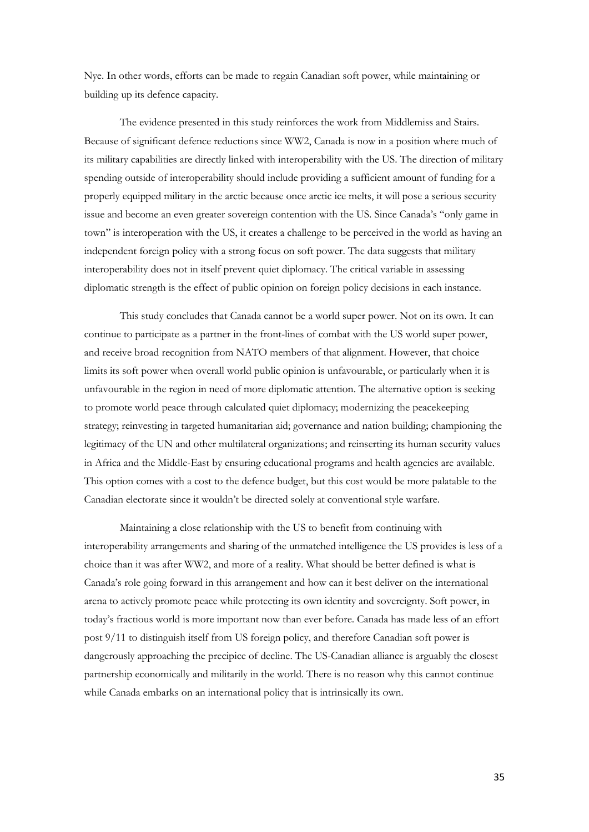Nye. In other words, efforts can be made to regain Canadian soft power, while maintaining or building up its defence capacity.

The evidence presented in this study reinforces the work from Middlemiss and Stairs. Because of significant defence reductions since WW2, Canada is now in a position where much of its military capabilities are directly linked with interoperability with the US. The direction of military spending outside of interoperability should include providing a sufficient amount of funding for a properly equipped military in the arctic because once arctic ice melts, it will pose a serious security issue and become an even greater sovereign contention with the US. Since Canada's "only game in town" is interoperation with the US, it creates a challenge to be perceived in the world as having an independent foreign policy with a strong focus on soft power. The data suggests that military interoperability does not in itself prevent quiet diplomacy. The critical variable in assessing diplomatic strength is the effect of public opinion on foreign policy decisions in each instance.

This study concludes that Canada cannot be a world super power. Not on its own. It can continue to participate as a partner in the front-lines of combat with the US world super power, and receive broad recognition from NATO members of that alignment. However, that choice limits its soft power when overall world public opinion is unfavourable, or particularly when it is unfavourable in the region in need of more diplomatic attention. The alternative option is seeking to promote world peace through calculated quiet diplomacy; modernizing the peacekeeping strategy; reinvesting in targeted humanitarian aid; governance and nation building; championing the legitimacy of the UN and other multilateral organizations; and reinserting its human security values in Africa and the Middle-East by ensuring educational programs and health agencies are available. This option comes with a cost to the defence budget, but this cost would be more palatable to the Canadian electorate since it wouldn't be directed solely at conventional style warfare.

Maintaining a close relationship with the US to benefit from continuing with interoperability arrangements and sharing of the unmatched intelligence the US provides is less of a choice than it was after WW2, and more of a reality. What should be better defined is what is Canada's role going forward in this arrangement and how can it best deliver on the international arena to actively promote peace while protecting its own identity and sovereignty. Soft power, in today's fractious world is more important now than ever before. Canada has made less of an effort post 9/11 to distinguish itself from US foreign policy, and therefore Canadian soft power is dangerously approaching the precipice of decline. The US-Canadian alliance is arguably the closest partnership economically and militarily in the world. There is no reason why this cannot continue while Canada embarks on an international policy that is intrinsically its own.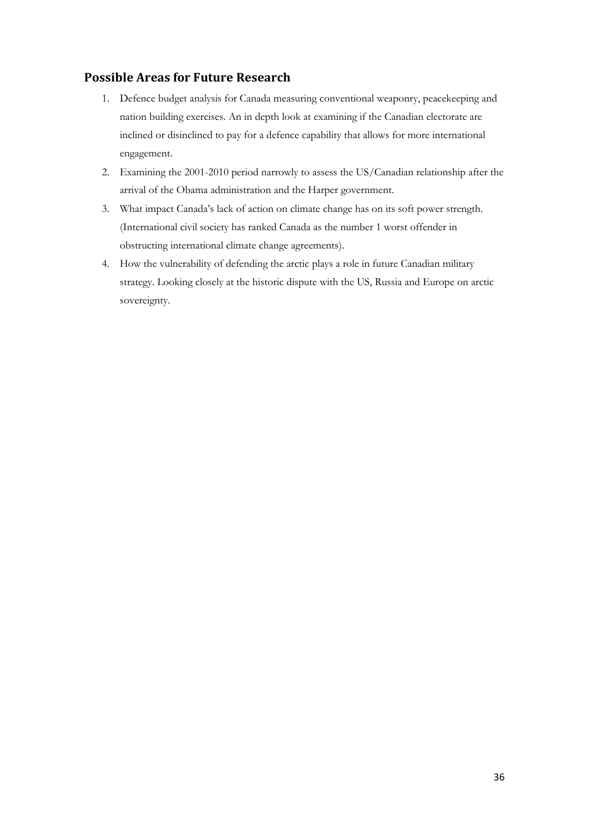## <span id="page-37-0"></span>**Possible Areas for Future Research**

- 1. Defence budget analysis for Canada measuring conventional weaponry, peacekeeping and nation building exercises. An in depth look at examining if the Canadian electorate are inclined or disinclined to pay for a defence capability that allows for more international engagement.
- 2. Examining the 2001-2010 period narrowly to assess the US/Canadian relationship after the arrival of the Obama administration and the Harper government.
- 3. What impact Canada's lack of action on climate change has on its soft power strength. (International civil society has ranked Canada as the number 1 worst offender in obstructing international climate change agreements).
- 4. How the vulnerability of defending the arctic plays a role in future Canadian military strategy. Looking closely at the historic dispute with the US, Russia and Europe on arctic sovereignty.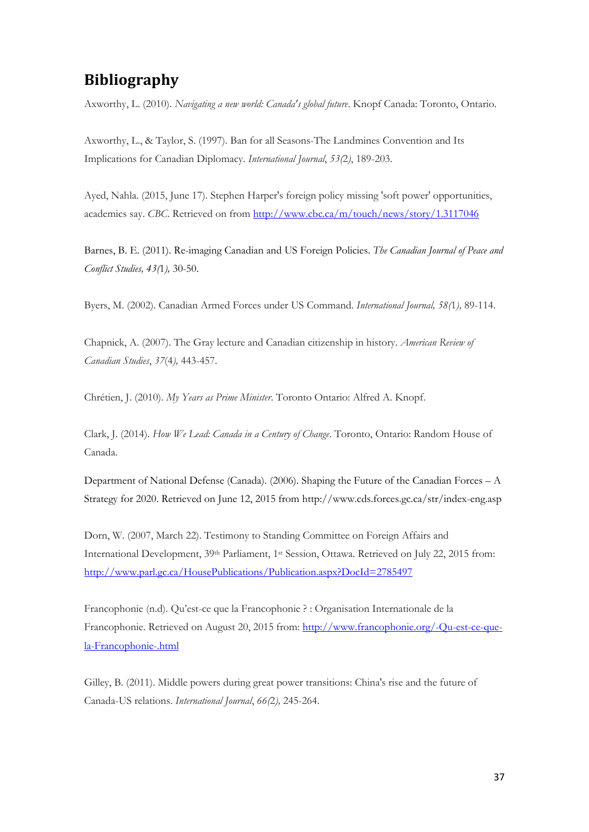# <span id="page-38-0"></span>**Bibliography**

Axworthy, L. (2010). *Navigating a new world: Canada's global future*. Knopf Canada: Toronto, Ontario.

Axworthy, L., & Taylor, S. (1997). Ban for all Seasons-The Landmines Convention and Its Implications for Canadian Diplomacy. *International Journal*, *53(*2*)*, 189-203.

Ayed, Nahla. (2015, June 17). Stephen Harper's foreign policy missing 'soft power' opportunities, academics say. *CBC*. Retrieved on from<http://www.cbc.ca/m/touch/news/story/1.3117046>

Barnes, B. E. (2011). Re-imaging Canadian and US Foreign Policies. *The Canadian Journal of Peace and Conflict Studies, 43(*1*),* 30-50.

Byers, M. (2002). Canadian Armed Forces under US Command. *International Journal, 58(*1*),* 89-114.

Chapnick, A. (2007). The Gray lecture and Canadian citizenship in history. *American Review of Canadian Studies*, *37*(4*),* 443-457.

Chrétien, J. (2010). *My Years as Prime Minister*. Toronto Ontario: Alfred A. Knopf.

Clark, J. (2014). *How We Lead: Canada in a Century of Change*. Toronto, Ontario: Random House of Canada.

Department of National Defense (Canada). (2006). Shaping the Future of the Canadian Forces – A Strategy for 2020. Retrieved on June 12, 2015 from http://www.cds.forces.gc.ca/str/index-eng.asp

Dorn, W. (2007, March 22). Testimony to Standing Committee on Foreign Affairs and International Development, 39th Parliament, 1st Session, Ottawa. Retrieved on July 22, 2015 from: <http://www.parl.gc.ca/HousePublications/Publication.aspx?DocId=2785497>

Francophonie (n.d). Qu'est-ce que la Francophonie ? : Organisation Internationale de la Francophonie. Retrieved on August 20, 2015 from[: http://www.francophonie.org/-Qu-est-ce-que](http://www.francophonie.org/-Qu-est-ce-que-la-Francophonie-.html)[la-Francophonie-.html](http://www.francophonie.org/-Qu-est-ce-que-la-Francophonie-.html)

Gilley, B. (2011). Middle powers during great power transitions: China's rise and the future of Canada-US relations. *International Journal*, *66(*2*),* 245-264.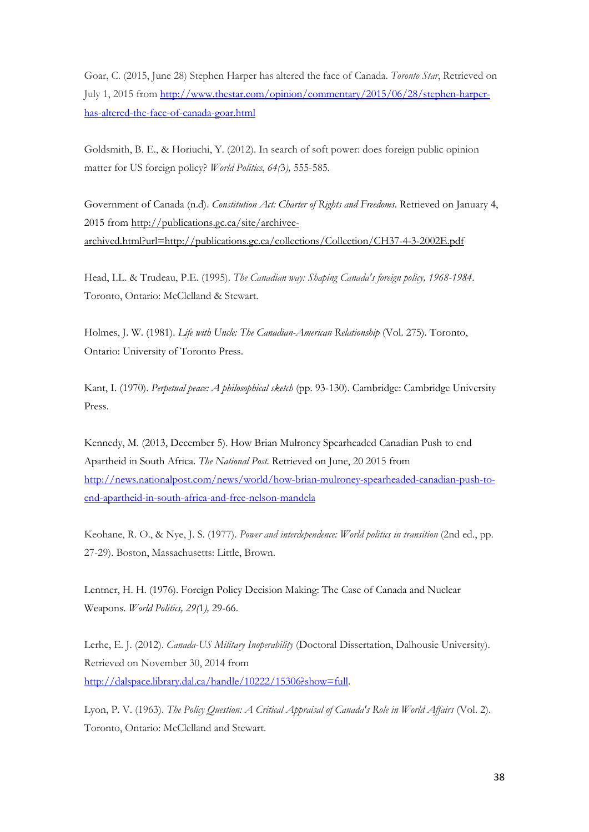Goar, C. (2015, June 28) Stephen Harper has altered the face of Canada. *Toronto Star*, Retrieved on July 1, 2015 fro[m http://www.thestar.com/opinion/commentary/2015/06/28/stephen-harper](http://www.thestar.com/opinion/commentary/2015/06/28/stephen-harper-has-altered-the-face-of-canada-goar.html)[has-altered-the-face-of-canada-goar.html](http://www.thestar.com/opinion/commentary/2015/06/28/stephen-harper-has-altered-the-face-of-canada-goar.html)

Goldsmith, B. E., & Horiuchi, Y. (2012). In search of soft power: does foreign public opinion matter for US foreign policy? *World Politics*, *64(*3*),* 555-585.

Government of Canada (n.d). *Constitution Act: Charter of Rights and Freedoms*. Retrieved on January 4, 2015 from [http://publications.gc.ca/site/archivee](http://publications.gc.ca/site/archivee-archived.html?url=http://publications.gc.ca/collections/Collection/CH37-4-3-2002E.pdf)[archived.html?url=http://publications.gc.ca/collections/Collection/CH37-4-3-2002E.pdf](http://publications.gc.ca/site/archivee-archived.html?url=http://publications.gc.ca/collections/Collection/CH37-4-3-2002E.pdf) 

Head, I.L. & Trudeau, P.E. (1995). *The Canadian way: Shaping Canada's foreign policy, 1968-1984*. Toronto, Ontario: McClelland & Stewart.

Holmes, J. W. (1981). *Life with Uncle: The Canadian-American Relationship* (Vol. 275). Toronto, Ontario: University of Toronto Press.

Kant, I. (1970). *Perpetual peace: A philosophical sketch* (pp. 93-130). Cambridge: Cambridge University Press.

Kennedy, M. (2013, December 5). How Brian Mulroney Spearheaded Canadian Push to end Apartheid in South Africa. *The National Post.* Retrieved on June, 20 2015 from [http://news.nationalpost.com/news/world/how-brian-mulroney-spearheaded-canadian-push-to](http://news.nationalpost.com/news/world/how-brian-mulroney-spearheaded-canadian-push-to-end-apartheid-in-south-africa-and-free-nelson-mandela)[end-apartheid-in-south-africa-and-free-nelson-mandela](http://news.nationalpost.com/news/world/how-brian-mulroney-spearheaded-canadian-push-to-end-apartheid-in-south-africa-and-free-nelson-mandela)

Keohane, R. O., & Nye, J. S. (1977). *Power and interdependence: World politics in transition* (2nd ed., pp. 27-29). Boston, Massachusetts: Little, Brown.

Lentner, H. H. (1976). Foreign Policy Decision Making: The Case of Canada and Nuclear Weapons. *World Politics, 29(*1*),* 29-66.

Lerhe, E. J. (2012). *Canada-US Military Inoperability* (Doctoral Dissertation, Dalhousie University). Retrieved on November 30, 2014 from [http://dalspace.library.dal.ca/handle/10222/15306?show=full.](http://dalspace.library.dal.ca/handle/10222/15306?show=full)

Lyon, P. V. (1963). *The Policy Question: A Critical Appraisal of Canada's Role in World Affairs* (Vol. 2). Toronto, Ontario: McClelland and Stewart.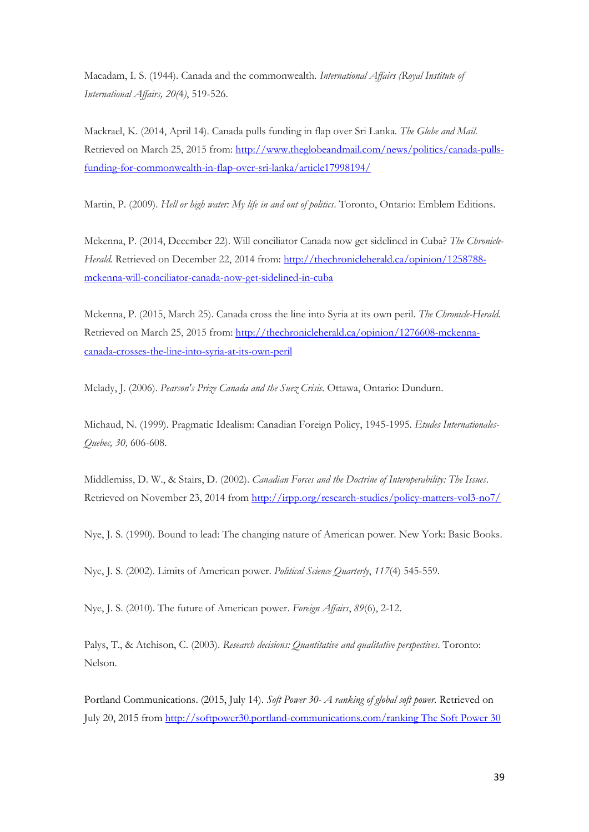Macadam, I. S. (1944). Canada and the commonwealth. *International Affairs (Royal Institute of International Affairs, 20(*4*)*, 519-526.

Mackrael, K. (2014, April 14). Canada pulls funding in flap over Sri Lanka. *The Globe and Mail.* Retrieved on March 25, 2015 from: [http://www.theglobeandmail.com/news/politics/canada-pulls](http://www.theglobeandmail.com/news/politics/canada-pulls-funding-for-commonwealth-in-flap-over-sri-lanka/article17998194/)[funding-for-commonwealth-in-flap-over-sri-lanka/article17998194/](http://www.theglobeandmail.com/news/politics/canada-pulls-funding-for-commonwealth-in-flap-over-sri-lanka/article17998194/)

Martin, P. (2009). *Hell or high water: My life in and out of politics*. Toronto, Ontario: Emblem Editions.

Mckenna, P. (2014, December 22). Will conciliator Canada now get sidelined in Cuba? *The Chronicle-Herald.* Retrieved on December 22, 2014 from[: http://thechronicleherald.ca/opinion/1258788](http://thechronicleherald.ca/opinion/1258788-mckenna-will-conciliator-canada-now-get-sidelined-in-cuba) [mckenna-will-conciliator-canada-now-get-sidelined-in-cuba](http://thechronicleherald.ca/opinion/1258788-mckenna-will-conciliator-canada-now-get-sidelined-in-cuba)

Mckenna, P. (2015, March 25). Canada cross the line into Syria at its own peril. *The Chronicle-Herald*. Retrieved on March 25, 2015 from: [http://thechronicleherald.ca/opinion/1276608-mckenna](http://thechronicleherald.ca/opinion/1276608-mckenna-canada-crosses-the-line-into-syria-at-its-own-peril)[canada-crosses-the-line-into-syria-at-its-own-peril](http://thechronicleherald.ca/opinion/1276608-mckenna-canada-crosses-the-line-into-syria-at-its-own-peril)

Melady, J. (2006). *Pearson's Prize Canada and the Suez Crisis*. Ottawa, Ontario: Dundurn.

Michaud, N. (1999). Pragmatic Idealism: Canadian Foreign Policy, 1945-1995. *Etudes Internationales-Quebec, 30,* 606-608.

Middlemiss, D. W., & Stairs, D. (2002). *Canadian Forces and the Doctrine of Interoperability: The Issues*. Retrieved on November 23, 2014 from<http://irpp.org/research-studies/policy-matters-vol3-no7/>

Nye, J. S. (1990). Bound to lead: The changing nature of American power. New York: Basic Books.

Nye, J. S. (2002). Limits of American power. *Political Science Quarterly*, *117*(4) 545-559.

Nye, J. S. (2010). The future of American power. *Foreign Affairs*, *89*(6), 2-12.

Palys, T., & Atchison, C. (2003). *Research decisions: Quantitative and qualitative perspectives*. Toronto: Nelson.

Portland Communications. (2015, July 14). *Soft Power 30- A ranking of global soft power.* Retrieved on July 20, 2015 from [http://softpower30.portland-communications.com/ranking The Soft Power 30](http://softpower30.portland-communications.com/ranking%20The%20Soft%20Power%2030)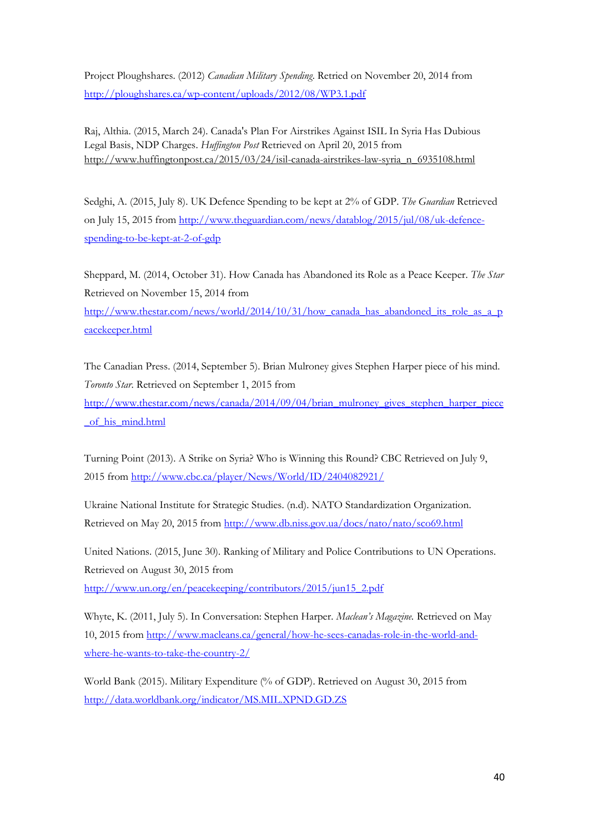Project Ploughshares. (2012) *Canadian Military Spending*. Retried on November 20, 2014 from <http://ploughshares.ca/wp-content/uploads/2012/08/WP3.1.pdf>

Raj, Althia. (2015, March 24). Canada's Plan For Airstrikes Against ISIL In Syria Has Dubious Legal Basis, NDP Charges. *Huffington Post* Retrieved on April 20, 2015 from [http://www.huffingtonpost.ca/2015/03/24/isil-canada-airstrikes-law-syria\\_n\\_6935108.html](http://www.huffingtonpost.ca/2015/03/24/isil-canada-airstrikes-law-syria_n_6935108.html)

Sedghi, A. (2015, July 8). UK Defence Spending to be kept at 2% of GDP. *The Guardian* Retrieved on July 15, 2015 from [http://www.theguardian.com/news/datablog/2015/jul/08/uk-defence](http://www.theguardian.com/news/datablog/2015/jul/08/uk-defence-spending-to-be-kept-at-2-of-gdp)[spending-to-be-kept-at-2-of-gdp](http://www.theguardian.com/news/datablog/2015/jul/08/uk-defence-spending-to-be-kept-at-2-of-gdp)

Sheppard, M. (2014, October 31). How Canada has Abandoned its Role as a Peace Keeper. *The Star*  Retrieved on November 15, 2014 from

[http://www.thestar.com/news/world/2014/10/31/how\\_canada\\_has\\_abandoned\\_its\\_role\\_as\\_a\\_p](http://www.thestar.com/news/world/2014/10/31/how_canada_has_abandoned_its_role_as_a_peacekeeper.html) [eacekeeper.html](http://www.thestar.com/news/world/2014/10/31/how_canada_has_abandoned_its_role_as_a_peacekeeper.html)

The Canadian Press. (2014, September 5). Brian Mulroney gives Stephen Harper piece of his mind. *Toronto Star*. Retrieved on September 1, 2015 from

[http://www.thestar.com/news/canada/2014/09/04/brian\\_mulroney\\_gives\\_stephen\\_harper\\_piece](http://www.thestar.com/news/canada/2014/09/04/brian_mulroney_gives_stephen_harper_piece_of_his_mind.html) of his mind.html

Turning Point (2013). A Strike on Syria? Who is Winning this Round? CBC Retrieved on July 9, 2015 from<http://www.cbc.ca/player/News/World/ID/2404082921/>

Ukraine National Institute for Strategic Studies. (n.d). NATO Standardization Organization. Retrieved on May 20, 2015 from<http://www.db.niss.gov.ua/docs/nato/nato/sco69.html>

United Nations. (2015, June 30). Ranking of Military and Police Contributions to UN Operations. Retrieved on August 30, 2015 from [http://www.un.org/en/peacekeeping/contributors/2015/jun15\\_2.pdf](http://www.un.org/en/peacekeeping/contributors/2015/jun15_2.pdf)

Whyte, K. (2011, July 5). In Conversation: Stephen Harper. *Maclean's Magazine.* Retrieved on May 10, 2015 from [http://www.macleans.ca/general/how-he-sees-canadas-role-in-the-world-and](http://www.macleans.ca/general/how-he-sees-canadas-role-in-the-world-and-where-he-wants-to-take-the-country-2/)[where-he-wants-to-take-the-country-2/](http://www.macleans.ca/general/how-he-sees-canadas-role-in-the-world-and-where-he-wants-to-take-the-country-2/)

World Bank (2015). Military Expenditure (% of GDP). Retrieved on August 30, 2015 from <http://data.worldbank.org/indicator/MS.MIL.XPND.GD.ZS>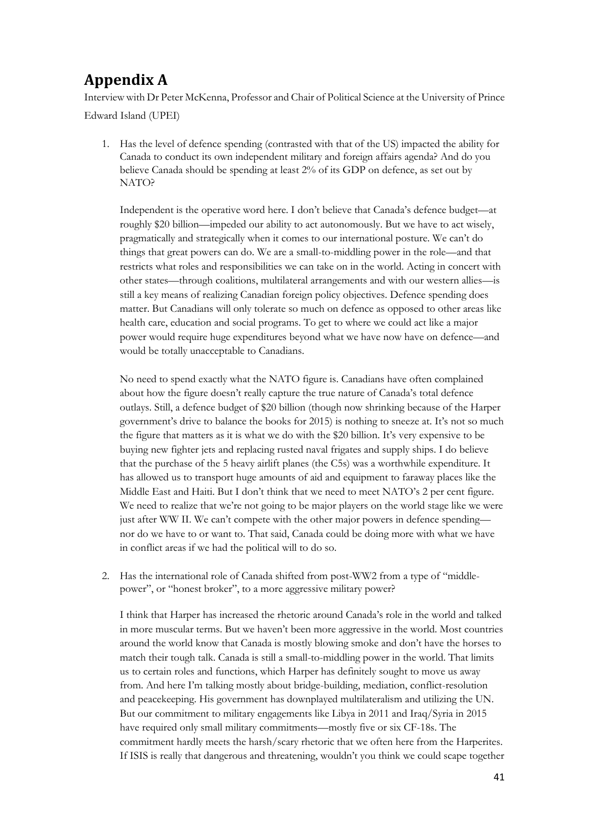# <span id="page-42-0"></span>**Appendix A**

Interview with Dr Peter McKenna, Professor and Chair of Political Science at the University of Prince Edward Island (UPEI)

1. Has the level of defence spending (contrasted with that of the US) impacted the ability for Canada to conduct its own independent military and foreign affairs agenda? And do you believe Canada should be spending at least 2% of its GDP on defence, as set out by NATO?

Independent is the operative word here. I don't believe that Canada's defence budget—at roughly \$20 billion—impeded our ability to act autonomously. But we have to act wisely, pragmatically and strategically when it comes to our international posture. We can't do things that great powers can do. We are a small-to-middling power in the role—and that restricts what roles and responsibilities we can take on in the world. Acting in concert with other states—through coalitions, multilateral arrangements and with our western allies—is still a key means of realizing Canadian foreign policy objectives. Defence spending does matter. But Canadians will only tolerate so much on defence as opposed to other areas like health care, education and social programs. To get to where we could act like a major power would require huge expenditures beyond what we have now have on defence—and would be totally unacceptable to Canadians.

No need to spend exactly what the NATO figure is. Canadians have often complained about how the figure doesn't really capture the true nature of Canada's total defence outlays. Still, a defence budget of \$20 billion (though now shrinking because of the Harper government's drive to balance the books for 2015) is nothing to sneeze at. It's not so much the figure that matters as it is what we do with the \$20 billion. It's very expensive to be buying new fighter jets and replacing rusted naval frigates and supply ships. I do believe that the purchase of the 5 heavy airlift planes (the C5s) was a worthwhile expenditure. It has allowed us to transport huge amounts of aid and equipment to faraway places like the Middle East and Haiti. But I don't think that we need to meet NATO's 2 per cent figure. We need to realize that we're not going to be major players on the world stage like we were just after WW II. We can't compete with the other major powers in defence spending nor do we have to or want to. That said, Canada could be doing more with what we have in conflict areas if we had the political will to do so.

2. Has the international role of Canada shifted from post-WW2 from a type of "middlepower", or "honest broker", to a more aggressive military power?

I think that Harper has increased the rhetoric around Canada's role in the world and talked in more muscular terms. But we haven't been more aggressive in the world. Most countries around the world know that Canada is mostly blowing smoke and don't have the horses to match their tough talk. Canada is still a small-to-middling power in the world. That limits us to certain roles and functions, which Harper has definitely sought to move us away from. And here I'm talking mostly about bridge-building, mediation, conflict-resolution and peacekeeping. His government has downplayed multilateralism and utilizing the UN. But our commitment to military engagements like Libya in 2011 and Iraq/Syria in 2015 have required only small military commitments—mostly five or six CF-18s. The commitment hardly meets the harsh/scary rhetoric that we often here from the Harperites. If ISIS is really that dangerous and threatening, wouldn't you think we could scape together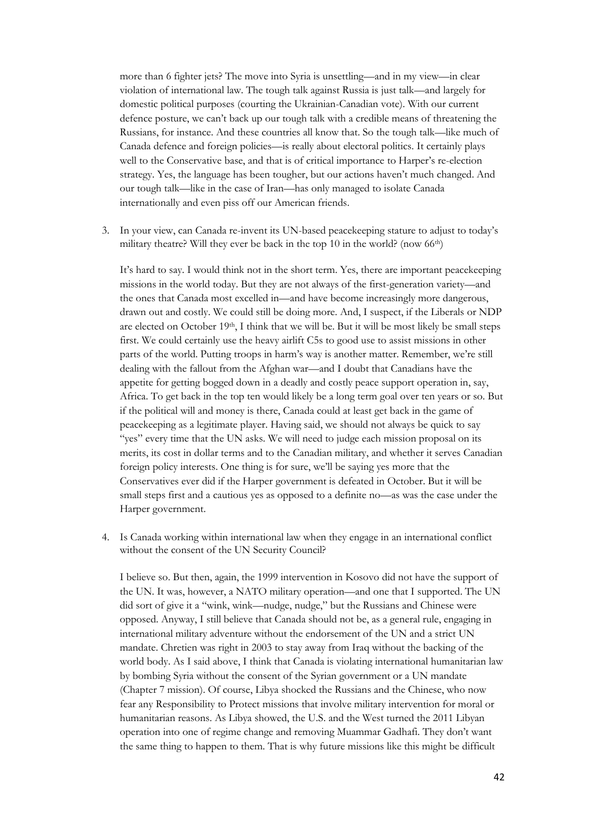more than 6 fighter jets? The move into Syria is unsettling—and in my view—in clear violation of international law. The tough talk against Russia is just talk—and largely for domestic political purposes (courting the Ukrainian-Canadian vote). With our current defence posture, we can't back up our tough talk with a credible means of threatening the Russians, for instance. And these countries all know that. So the tough talk—like much of Canada defence and foreign policies—is really about electoral politics. It certainly plays well to the Conservative base, and that is of critical importance to Harper's re-election strategy. Yes, the language has been tougher, but our actions haven't much changed. And our tough talk—like in the case of Iran—has only managed to isolate Canada internationally and even piss off our American friends.

3. In your view, can Canada re-invent its UN-based peacekeeping stature to adjust to today's military theatre? Will they ever be back in the top 10 in the world? (now 66th)

It's hard to say. I would think not in the short term. Yes, there are important peacekeeping missions in the world today. But they are not always of the first-generation variety—and the ones that Canada most excelled in—and have become increasingly more dangerous, drawn out and costly. We could still be doing more. And, I suspect, if the Liberals or NDP are elected on October  $19th$ , I think that we will be. But it will be most likely be small steps first. We could certainly use the heavy airlift C5s to good use to assist missions in other parts of the world. Putting troops in harm's way is another matter. Remember, we're still dealing with the fallout from the Afghan war—and I doubt that Canadians have the appetite for getting bogged down in a deadly and costly peace support operation in, say, Africa. To get back in the top ten would likely be a long term goal over ten years or so. But if the political will and money is there, Canada could at least get back in the game of peacekeeping as a legitimate player. Having said, we should not always be quick to say "yes" every time that the UN asks. We will need to judge each mission proposal on its merits, its cost in dollar terms and to the Canadian military, and whether it serves Canadian foreign policy interests. One thing is for sure, we'll be saying yes more that the Conservatives ever did if the Harper government is defeated in October. But it will be small steps first and a cautious yes as opposed to a definite no—as was the case under the Harper government.

4. Is Canada working within international law when they engage in an international conflict without the consent of the UN Security Council?

I believe so. But then, again, the 1999 intervention in Kosovo did not have the support of the UN. It was, however, a NATO military operation—and one that I supported. The UN did sort of give it a "wink, wink—nudge, nudge," but the Russians and Chinese were opposed. Anyway, I still believe that Canada should not be, as a general rule, engaging in international military adventure without the endorsement of the UN and a strict UN mandate. Chretien was right in 2003 to stay away from Iraq without the backing of the world body. As I said above, I think that Canada is violating international humanitarian law by bombing Syria without the consent of the Syrian government or a UN mandate (Chapter 7 mission). Of course, Libya shocked the Russians and the Chinese, who now fear any Responsibility to Protect missions that involve military intervention for moral or humanitarian reasons. As Libya showed, the U.S. and the West turned the 2011 Libyan operation into one of regime change and removing Muammar Gadhafi. They don't want the same thing to happen to them. That is why future missions like this might be difficult